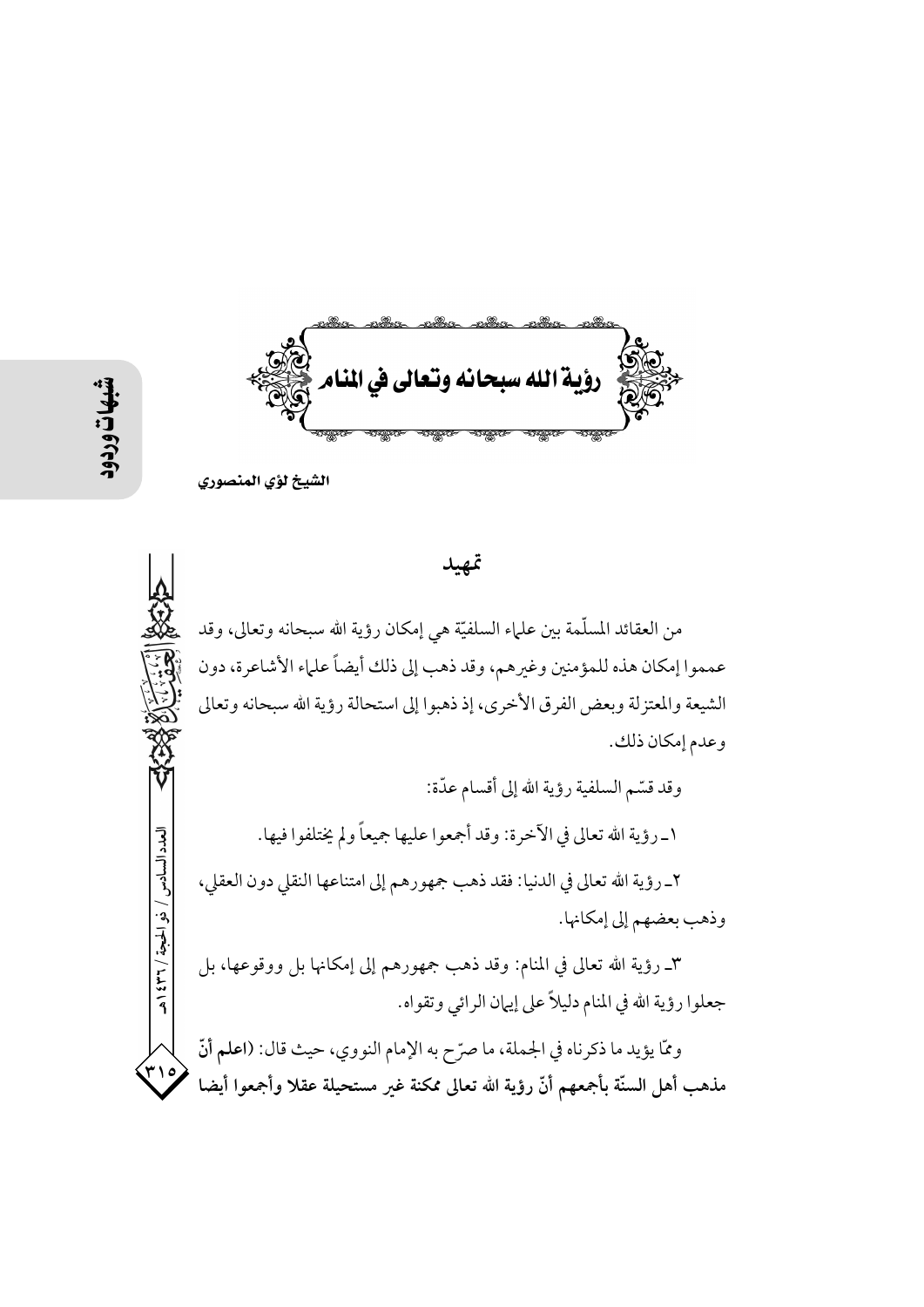ؤية الله سبحانه وتعالى في المنام

الشيخ لؤي المنصوري

من العقائد المسلَّمة بين علماء السلفيَّة هي إمكان رؤية الله سبحانه وتعالى، وقد عمموا إمكان هذه للمؤمنين وغيرهم، وقد ذهب إلى ذلك أيضاً علماء الأشاعرة، دون الشيعة والمعتزلة وبعض الفرق الأخرى، إذ ذهبوا إلى استحالة رؤية الله سبحانه وتعالى وعدم إمكان ذلك.

تمهيد

وقد قسّم السلفية رؤية الله إلى أقسام عدّة: ١\_رؤية الله تعالى في الآخرة: وقد أجمعوا عليها جميعاً ولم يختلفوا فيها. ٢\_ رؤية الله تعالى في الدنيا: فقد ذهب جمهورهم إلى امتناعها النقلي دون العقلي، وذهب بعضهم إلى إمكانها. ٣ـ رؤية الله تعالى في المنام: وقد ذهب جمهورهم إلى إمكانها بل ووقوعها، بل

جعلوا رؤية الله في المنام دليلاً على إيهان الرائي وتقواه.

وممّا يؤيد ما ذكرناه في الجملة، ما صرّح به الإمام النووي، حيث قال: (اعلم أنّ ۳۱۰ مذهب أهل السنّة بأجمعهم أنّ رؤية الله تعالى ممكنة غير مستحيلة عقلا وأجمعوا أيضا

العدد السادس / ذو الحجة / ٣٦٦ هـ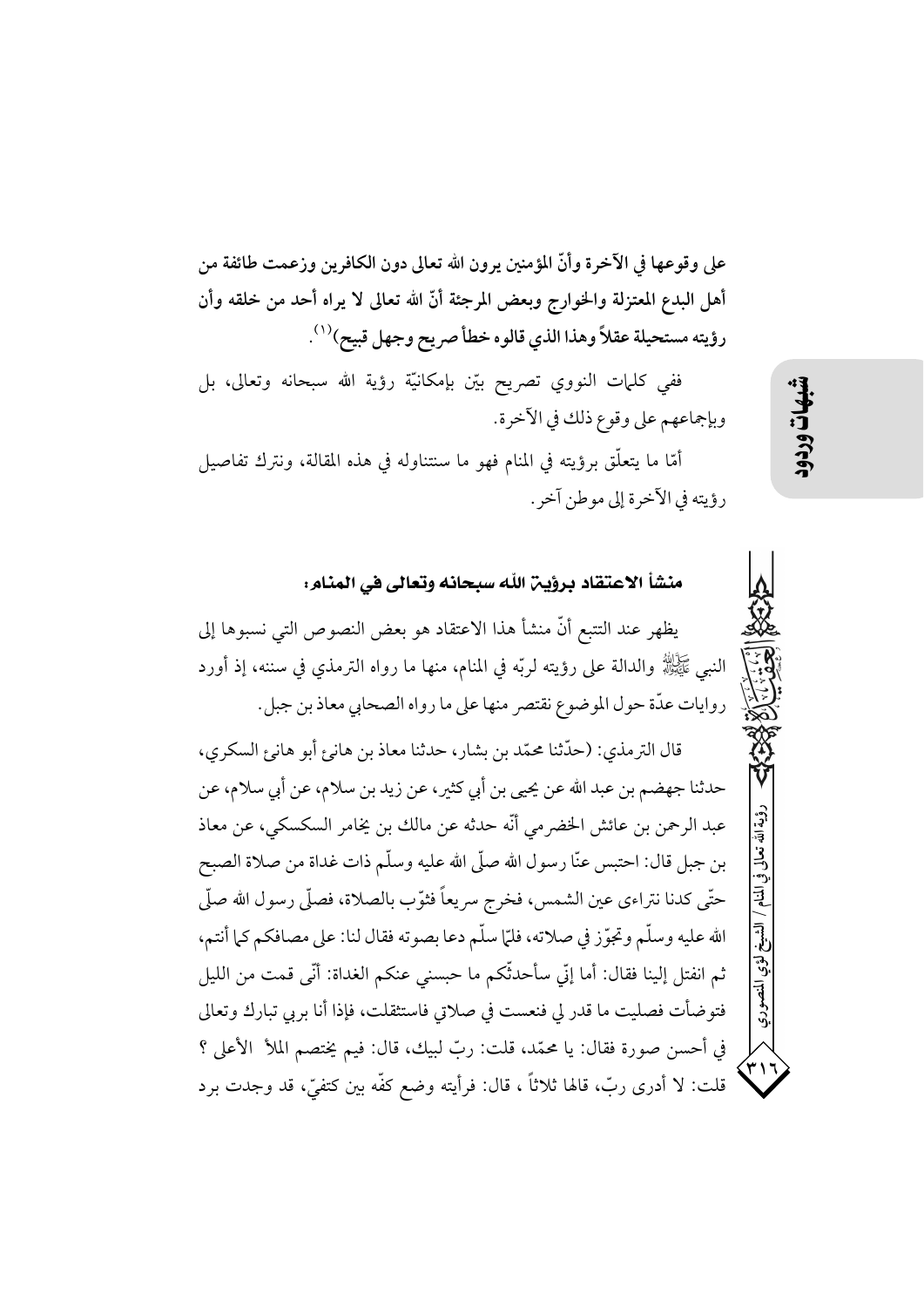على وقوعها في الآخرة وأنَّ المؤمنين يرون الله تعالى دون الكافرين وزعمت طائفة من أهل البدع المعتزلة والخوارج وبعض المرجئة أنَّ الله تعالى لا يراه أحد من خلقه وأن رؤيته مستحيلة عقلاً وهذا الذي قالوه خطأ صريح وجهل قبيح)'''.

ففي كلمات النووي تصريح بيّن بإمكانيّة رؤية الله سبحانه وتعالى، بل وبإجماعهم على وقوع ذلك في الآخرة.

أمَّا ما يتعلَّق برؤيته في المنام فهو ما سنتناوله في هذه المقالة، ونترك تفاصيل رؤيته في الآخرة إلى موطن آخر .

منشأ الاعتقاد برؤين الله سبحانه وتعالى في المنام: يظهر عند التتبع أنَّ منشأ هذا الاعتقاد هو بعض النصوص التي نسبوها إلى النبـِي ﷺ والدالة على رؤيته لربّه في المنام، منها ما رواه الترمذي في سننه، إذ أورد روايات عدّة حول الموضوع نقتصر منها على ما رواه الصحابي معاذ بن جبل. قال الترمذي: (حدِّثنا محمَّد بن بشار، حدثنا معاذ بن هانيءِ أبو هانيءِ السكري، حدثنا جهضم بن عبد الله عن يحيى بن أبي كثير، عن زيد بن سلام، عن أبي سلام، عن عبد الرحمن بن عائش الخضر مي أنَّه حدثه عن مالك بن يخامر السكسكي، عن معاذ بن جبل قال: احتبس عنَّا رسول الله صلَّى الله عليه وسلَّم ذات غداة من صلاة الصبح حتَّى كدنا نتراءى عين الشمس، فخرج سريعاً فثوَّب بالصلاة، فصلَّى رسول الله صلَّى الله عليه وسلَّم وتجوَّز في صلاته، فلمَّا سلَّم دعا بصوته فقال لنا: على مصافكم كما أنتم، ثم انفتل إلينا فقال: أما إنِّي سأحدثُّكم ما حبسني عنكم الغداة: أنِّي قمت من الليل فتوضأت فصليت ما قدر لي فنعست في صلاتي فاستثقلت، فإذا أنا بربي تبارك وتعالى في أحسن صورة فقال: يا محمَّد، قلت: ربَّ لبيك، قال: فيم يختصم الملأ الأعلى ؟ قلت: لا أدرى ربّ، قالها ثلاثاً ، قال: فرأيته وضع كفّه بين كتفيٍّ، قد وجدت برد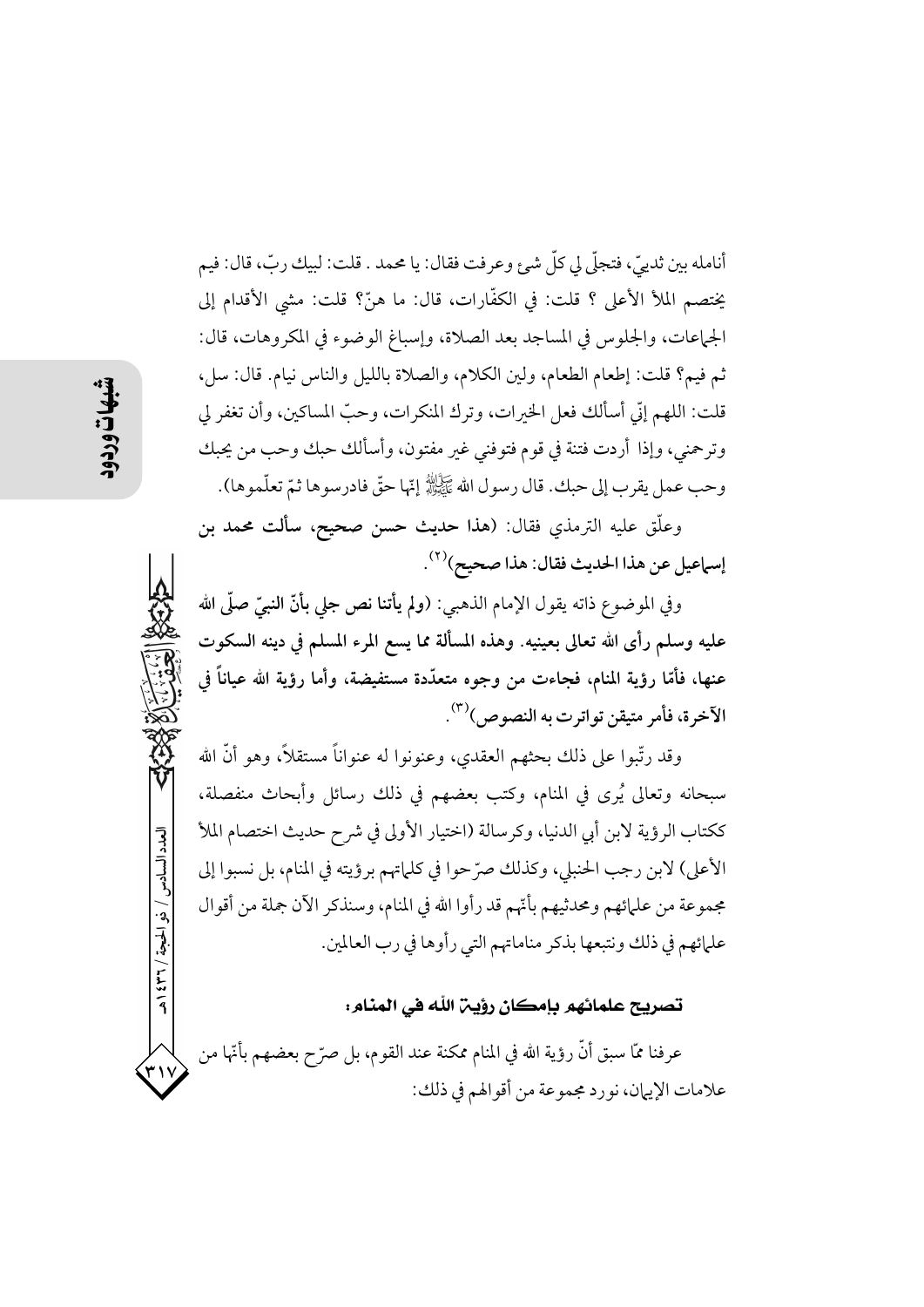أنامله بين ثدييٍّ، فتجلَّى لي كلِّ شيئٍ وعرفت فقال: يا محمد . قلت: لبيك ربٍّ، قال: فيم يختصم الملأ الأعلى ؟ قلت: في الكفَّارات، قال: ما هنَّ؟ قلت: مشى الأقدام إلى الجماعات، والجلوس في المساجد بعد الصلاة، وإسباغ الوضوء في المكروهات، قال: ثم فيم؟ قلت: إطعام الطعام، ولين الكلام، والصلاة بالليل والناس نيام. قال: سل، قلت: اللهم إنّي أسألك فعل الخيرات، وترك المنكرات، وحبّ المساكين، وأن تغفر لي وترحمني، وإذا أردت فتنة في قوم فتوفني غير مفتون، وأسألك حبك وحب من يحبك وحب عمل يقرب إلى حبك. قال رسول الله عَكَيْلَاللهُ إِنّها حقٌّ فادرسوها ثمّ تعلّموها).

وعلَّق عليه الترمذي فقال: (هذا حديث حسن صحيح، سألت محمد بن إسماعيل عن هذا الحديث فقال: هذا صحيح)(٢).

وفي الموضوع ذاته يقول الإمام الذهبي: (ولم يأتنا نص جلي بأنّ النبيّ صلَّى الله عليه وسلم رأى الله تعالى بعينيه. وهذه المسألة مما يسع المرء المسلم في دينه السكوت عنها، فأمّا رؤية المنام، فجاءت من وجوه متعدّدة مستفيضة، وأما رؤية الله عياناً في الآخرة، فأمر متيقن تواترت به النصوص)<sup>(٣)</sup>.

وقد رتَّبوا على ذلك بحثهم العقدي، وعنونوا له عنواناً مستقلاً، وهو أنَّ الله سبحانه وتعالى يُرى في المنام، وكتب بعضهم في ذلك رسائل وأبحاث منفصلة، ككتاب الرؤية لابن أبي الدنيا، وكرسالة (اختيار الأولى في شرح حديث اختصام الملأ الأعلى) لابن رجب الحنبلي، وكذلك صرَّحوا في كلَّماتهم برؤيته في المنام، بل نسبوا إلى مجموعة من علمائهم ومحدثيهم بأنَّهم قد رأوا الله في المنام، وسنذكر الآن جملة من أقوال علمائهم في ذلك ونتبعها بذكر مناماتهم التي رأوها في رب العالمين.

## تصريح علمائهم بإمكان رؤين الله في المنام:

عرفنا ممَّا سبق أنَّ رؤية الله في المنام ممكنة عند القوم، بل صرّح بعضهم بأنَّها علامات الإيهان، نورد مجموعة من أقوالهم في ذلك:

العدد السادس / ذو الحبجة / ٣٦ / ٤٣٩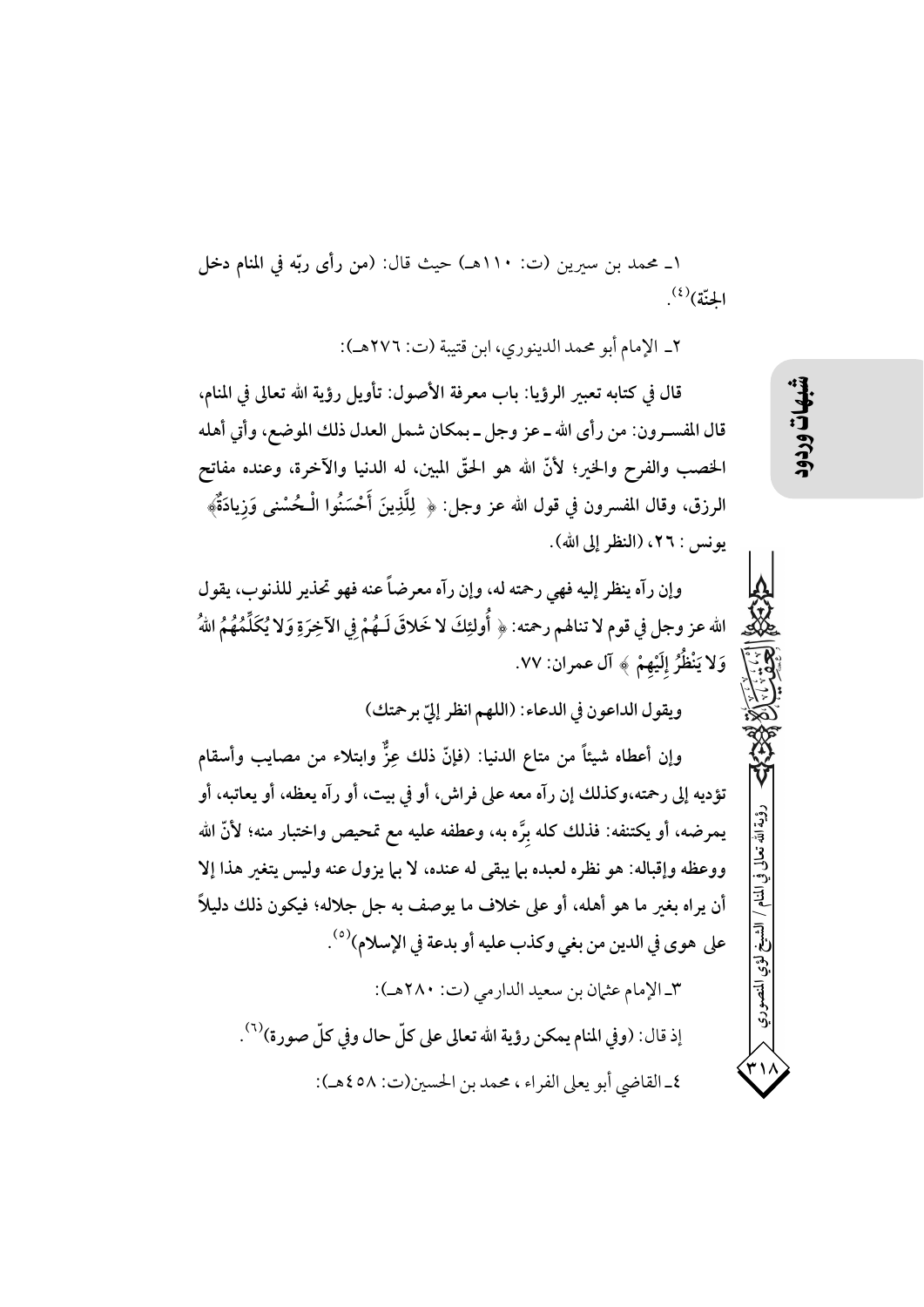١\_ محمد بن سيرين (ت: ١١٠هـ) حيث قال: (من رأى ربّه في المنام دخل الجنّة)<sup>(٤)</sup>.

٢\_ الإمام أبو محمد الدينوري، ابن قتيبة (ت: ٢٧٦هـ):

قال في كتابه تعبير الرؤيا: باب معرفة الأصول: تأويل رؤية الله تعالى في المنام، قال المفسـرون: من رأى الله ـ عز وجل ـ بمكان شمل العدل ذلك الموضع، وأتى أهله الخصب والفرح والخير؛ لأنَّ الله هو الحقَّ المبين، له الدنيا والآخرة، وعنده مفاتح الرزق، وقال المفسرون في قول الله عز وجل: ﴿ لِلَّذِينَ أَحْسَنُوا الْـحُسْنِي وَزِيادَةٌ﴾ يونس : ٢٦، (النظر إلى الله).

وإن رآه ينظر إليه فهي رحمته له، وإن رآه معرضاً عنه فهو تحذير للذنوب، يقول الله عز وجل في قوم لا تنالهم رحمته: ﴿ أُولَئِكَ لا خَلاقَ لَـهُمْ فِي الْآخِرَةِ وَلا يُكَلِّمُهُمُ اللهُ وَلا يَنْظُرُ إِلَيْهِمْ ﴾ آل عمران: ٧٧.

ويقول الداعون في الدعاء: (اللهم انظر إليّ برحمتك)

وإن أعطاه شيئاً من متاع الدنيا: (فإنَّ ذلك عِزٌّ وابتلاء من مصايب وأسقام تؤديه إلى رحمته،وكذلك إن رآه معه على فراش، أو في بيت، أو رآه يعظه، أو يعاتبه، أو يمرضه، أو يكتنفه: فذلك كله برَّه به، وعطفه عليه مع تمحيص واختبار منه؛ لأنَّ الله ووعظه وإقباله: هو نظره لعبده بما يبقى له عنده، لا بما يزول عنه وليس يتغير هذا إلا أن يراه بغير ما هو أهله، أو على خلاف ما يوصف به جل جلاله؛ فيكون ذلك دليلاً على هوى في الدين من بغي وكذب عليه أو بدعة في الإسلام)<sup>(٥)</sup>. ٣\_الإمام عثمان بن سعيد الدارمي (ت: ٢٨٠هـ):

إذ قال: (وفي المنام يمكن رؤية الله تعالى على كلِّ حال وفي كلِّ صورة)'``. ٤\_ القاضي أبو يعلى الفراء ، محمد بن الحسين(ت: ٥٨ ٤هـ):

لشيخ لؤي المنصو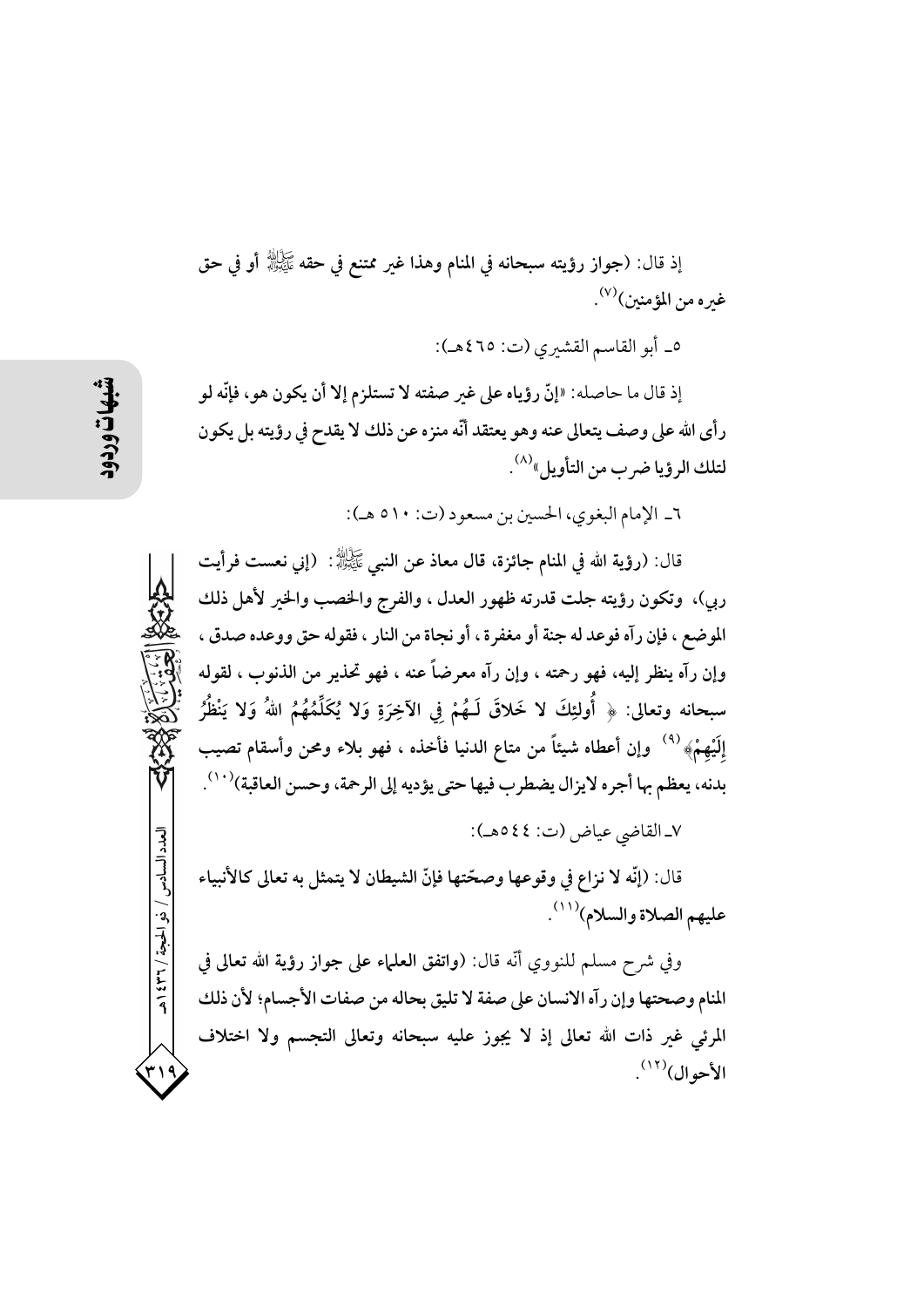إذ قال: (جواز رؤيته سبحانه في المنام وهذا غير ممتنع في حقه ﷺ أو في حق غيره من المؤمنين)<sup>(٧)</sup>.

٥\_ أبو القاسم القشيري (ت: ٤٦٥هـ):

إذ قال ما حاصله: «إنَّ رؤياه على غير صفته لا تستلزم إلا أن يكون هو، فإنَّه لو رأى الله على وصف يتعالى عنه وهو يعتقد أنّه منزه عن ذلك لا يقدح في رؤيته بل يكون لتلك الرؤيا ضر ب من التأويل»<sup>(٨)</sup> .

٦\_ الإمام البغوي، الحسين بن مسعود (ت: ٥١٠ هـ):

قال: (رؤية الله في المنام جائزة، قال معاذ عن النبي ﷺ: (إني نعست فرأيت ربي)، وتكون رؤيته جلت قدرته ظهور العدل ، والفرج والخصب والخير لأهل ذلك الموضع ، فإن رآه فوعد له جنة أو مغفرة ، أو نجاة من النار ، فقوله حق ووعده صدق ، وإن رآه ينظر إليه، فهو رحمته ، وإن رآه معرضاً عنه ، فهو تحذير من الذنوب ، لقوله سبحانه وتعالى: ﴿ أُولئِكَ لا خَلاقَ لَـهُمْ فِي الآخِرَةِ وَلا يُكَلِّمُهُمُ اللهُ وَلا يَنْظُرُ إلَيْهِمْ» <sup>(٩)</sup> وإن أعطاه شيئاً من متاع الدنيا فأخذه ، فهو بلاء ومحن وأسقام تصيب بدنه، يعظم بها أجره لايزال يضطرب فيها حتى يؤديه إلى الرحمة، وحسن العاقبة)(١٠٠).

٧ـ القاضي عياض (ت: ٤٤هـ):

قال: (إنَّه لا نزاع في وقوعها وصحّتها فإنَّ الشيطان لا يتمثل به تعالى كالأنبياء عليهم الصلاة والسلام)(١١).

وفي شرح مسلم للنووي أنَّه قال: (واتفق العلماء على جواز رؤية الله تعالى في المنام وصحتها وإن رآه الانسان على صفة لا تليق بحاله من صفات الأجسام؛ لأن ذلك المرئي غير ذات الله تعالى إذ لا يجوز عليه سبحانه وتعالى التجسم ولا اختلاف الأحوال)<sup>(١٢)</sup>.

العدد السادس / ذو الحجة / ٣٦ / ٤٣٩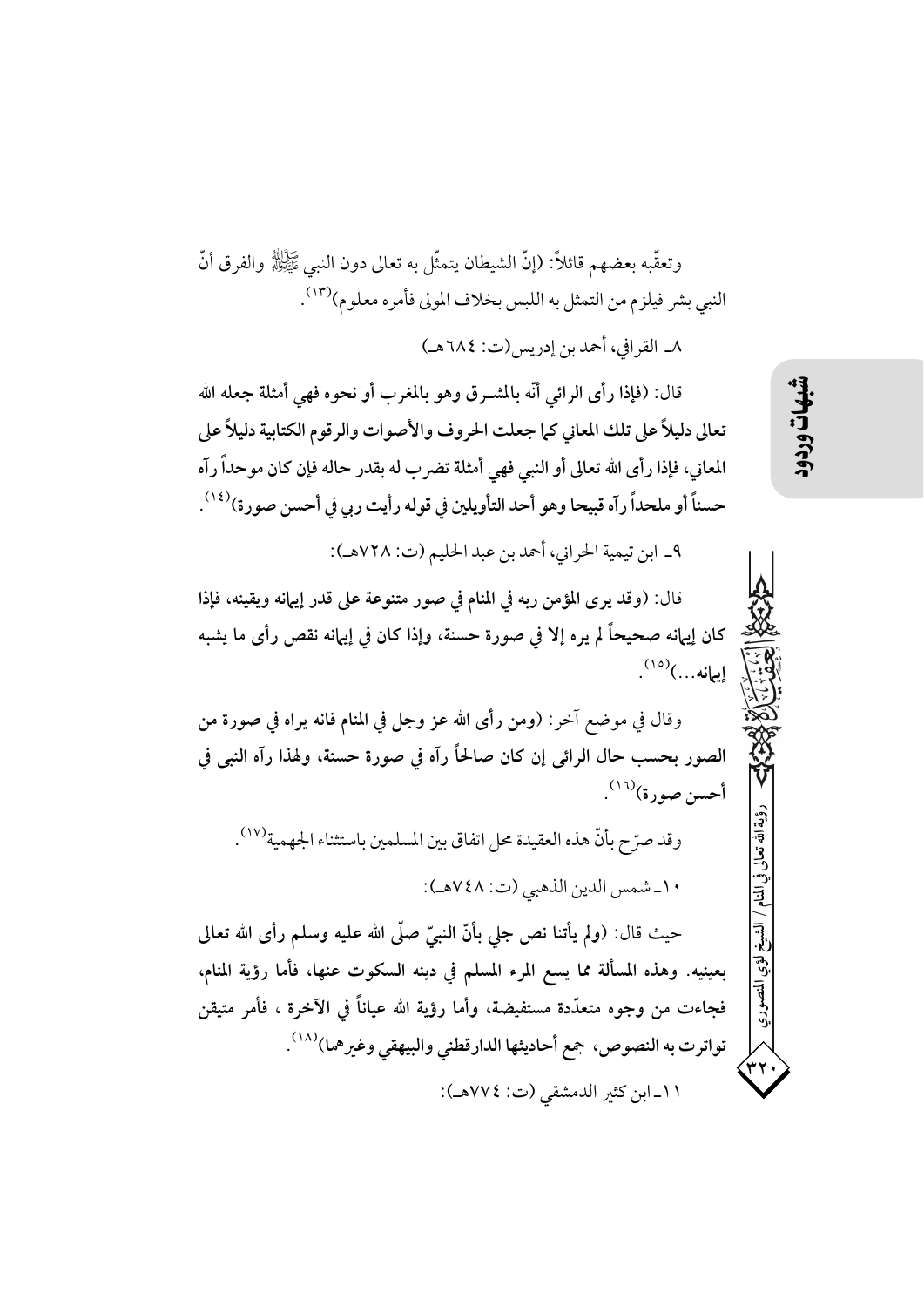وتعقُّبه بعضهم قائلاً: (إنَّ الشيطان يتمثَّل به تعالى دون النبي ﷺ والفرق أنَّ النبي بشر فيلزم من التمثل به اللبس بخلاف المولي فأمره معلوم)(١٣). ٨\_ القرافي، أحمد بن إدريس(ت: ٦٨٤هـ)

قال: (فإذا رأى الرائي أنَّه بالمشــرق وهو بالمغرب أو نحوه فهي أمثلة جعله الله تعالى دليلاً على تلك المعاني كما جعلت الحروف والأصوات والرقوم الكتابية دليلاً على المعاني، فإذا رأى الله تعالى أو النبي فهي أمثلة تضرب له بقدر حاله فإن كان موحداً رآه حسناً أو ملحداً رآه قبيحا وهو أحد التأويلين في قوله رأيت ربي في أحسن صورة)(١٤).

٩\_ ابن تيمية الحراني، أحمد بن عبد الحليم (ت: ٧٢٨هـ):

قال: (وقد يرى المؤمن ربه في المنام في صور متنوعة على قدر إيهانه ويقينه، فإذا كان إيهانه صحيحاً لم يره إلا في صورة حسنة، وإذا كان في إيهانه نقص رأى ما يشبه إيمانه...)<sup>(١٥)</sup>.

وقال في موضع آخر: (ومن رأى الله عز وجل في المنام فانه يراه في صورة من الصور بحسب حال الرائي إن كان صالحاً رآه في صورة حسنة، ولهذا رآه النبي في أحسن صورة)<sup>(١٦)</sup>.

وقد صرّح بأنّ هذه العقيدة محل اتفاق بين المسلمين باستثناء الجهمية''''.

١٠\_شمس الدين الذهبي (ت: ٧٤٨هـ):

حيث قال: (ولم يأتنا نص جلى بأنّ النبيّ صلّى الله عليه وسلم رأى الله تعالى بعينيه. وهذه المسألة مما يسع المرء المسلم في دينه السكوت عنها، فأما رؤية المنام، فجاءت من وجوه متعدّدة مستفيضة، وأما رؤية الله عياناً في الآخرة ، فأمر متيقن تواترت به النصوص، جمع أحاديثها الدارقطني والبيهقي وغيرهما)(١٨). ١١\_ابن كثير الدمشقى (ت: ٧٧٤هـ):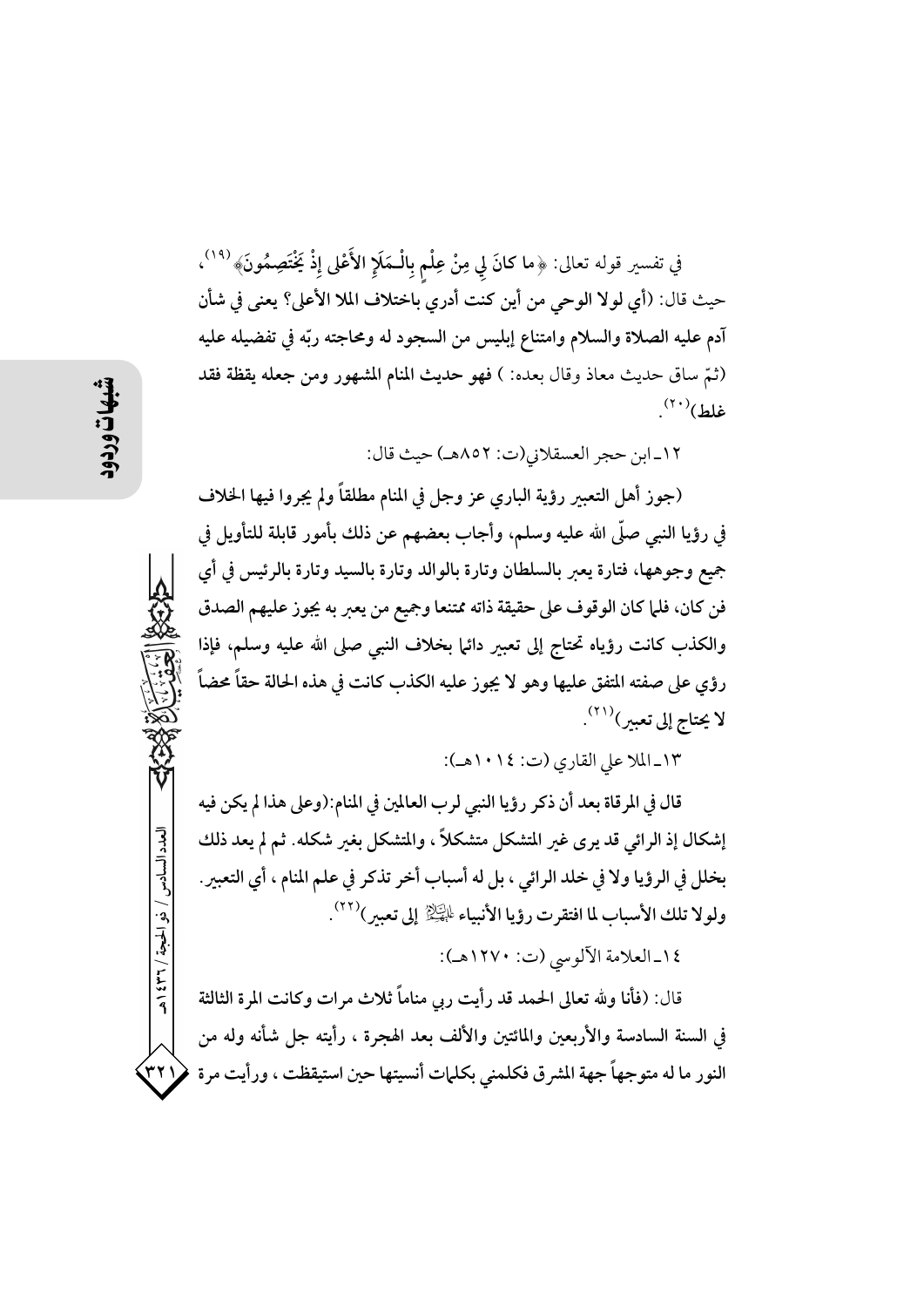في تفسير قوله تعالى: ﴿ما كانَ لِي مِنْ عِلْمٍ بِالْـمَلَإِ الأَعْلَى إِذْ يَخْتَصِمُونَ﴾  $^{(14)}$ ، حيث قال: (أي لولا الوحي من أين كنت أدري باختلاف الملا الأعلى؟ يعني في شأن آدم عليه الصلاة والسلام وامتناع إبليس من السجود له ومحاجته ربّه في تفضيله عليه (ثمّ ساق حديث معاذ وقال بعده: ) فهو حديث المنام المشهور ومن جعله يقظة فقد  $\mathcal{L}^{(\Upsilon\ \cdotp)}(t)$ غلط

١٢ـ ابن حجر العسقلاني(ت: ٨٥٢هـ) حيث قال:

(جوز أهل التعبير رؤية الباري عز وجل في المنام مطلقاً ولم يجروا فيها الخلاف في رؤيا النبي صلَّى الله عليه وسلم، وأجاب بعضهم عن ذلك بأمور قابلة للتأويل في جميع وجوهها، فتارة يعبر بالسلطان وتارة بالوالد وتارة بالسيد وتارة بالرئيس في أي فن كان، فلما كان الوقوف على حقيقة ذاته ممتنعا وجميع من يعبر به يجوز عليهم الصدق والكذب كانت رؤياه تحتاج إلى تعبير دائما بخلاف النبي صلى الله عليه وسلم، فإذا رؤي على صفته المتفق عليها وهو لا يجوز عليه الكذب كانت في هذه الحالة حقاً محضاً لا يحتاج إلى تعبير)((٢).

١٣\_الملا على القاري (ت: ١٠١٤هـ):

قال في المرقاة بعد أن ذكر رؤيا النبي لرب العالمين في المنام:(وعلى هذا لم يكن فيه إشكال إذ الرائي قد يرى غير المتشكل متشكلاً ، والمتشكل بغير شكله. ثم لم يعد ذلك بخلل في الرؤيا ولا في خلد الرائي ، بل له أسباب أخر تذكر في علم المنام ، أي التعبير . ولولا تلك الأسباب لما افتقرت رؤيا الأنبياء لِلْمَجِلْةِ إلى تعبير)(٢٢).

١٤ـ العلامة الآلوسي (ت: ١٢٧٠هـ):

قال: (فأنا ولله تعالى الحمد قد رأيت ربي مناماً ثلاث مرات وكانت المرة الثالثة في السنة السادسة والأربعين والمائتين والألف بعد الهجرة ، رأيته جل شأنه وله من النور ما له متوجهاً جهة المشرق فكلمني بكلمات أنسيتها حين استيقظت ، ورأيت مرة

العدد السادس / ذو الحجة / ٣٦ / ٤٣٩

۳۲۱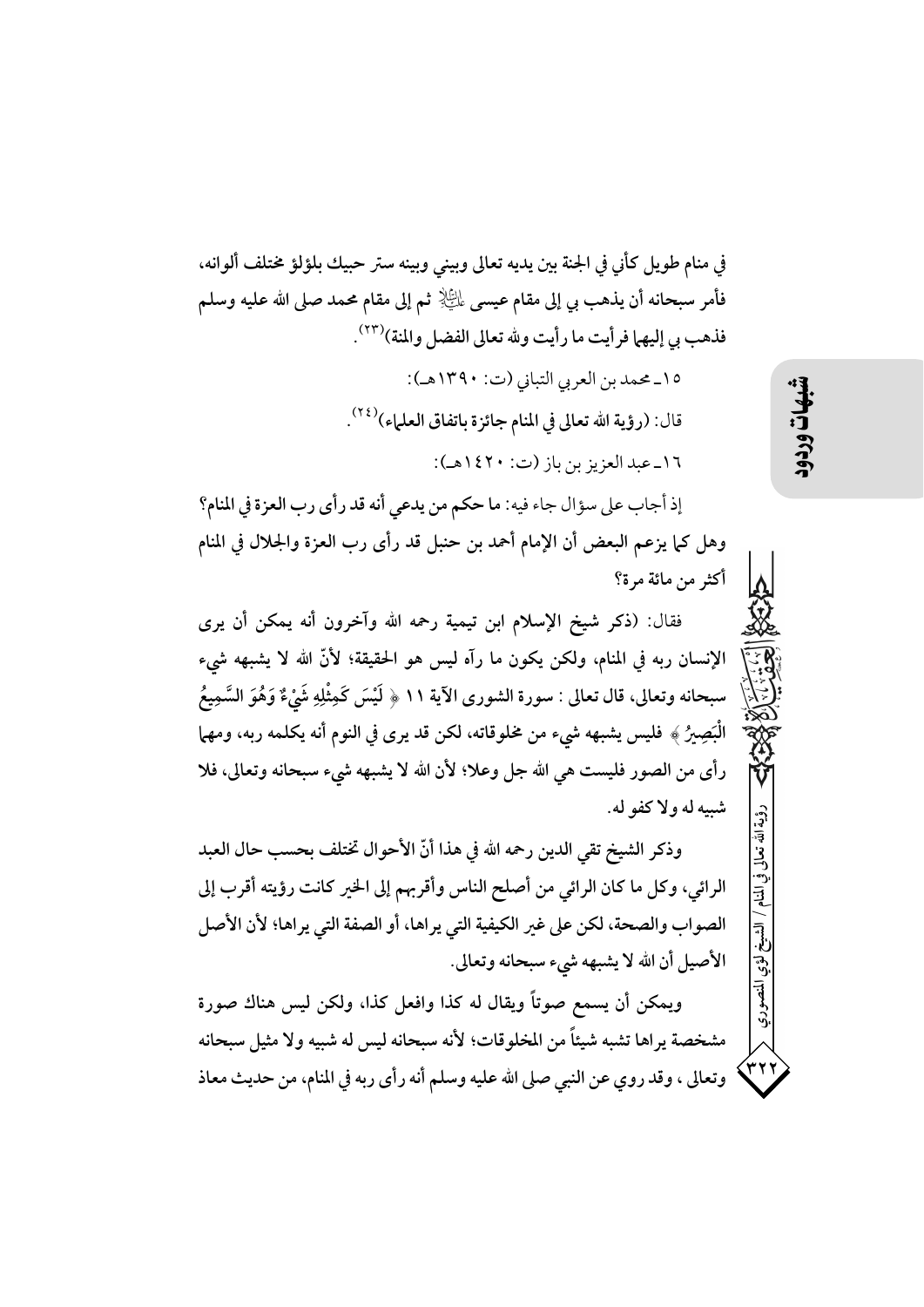في منام طويل كأني في الجنة بين يديه تعالى وبيني وبينه ستر حبيك بلؤلؤ مختلف ألوانه، فأمر سبحانه أن يذهب بي إلى مقام عيسى ﷺ ثم إلى مقام محمد صلى الله عليه وسلم فذهب بي إليهما فرأيت ما رأيت ولله تعالى الفضل والمنة)(٢٣).

> ١٥-محمد بن العربي التباني (ت: ١٣٩٠هـ): قال: (رؤية الله تعالى في المنام جائزة باتفاق العلماء)(٢٤). ١٦\_عبد العزيز بن باز (ت: ١٤٢٠هـ):

إذ أجاب على سؤال جاء فيه: ما حكم من يدعى أنه قد رأى رب العزة في المنام؟ وهل كما يزعم البعض أن الإمام أحمد بن حنبل قد رأى رب العزة والجلال في المنام أكثر من مائة مرة؟

فقال: (ذكر شيخ الإسلام ابن تيمية رحمه الله وآخرون أنه يمكن أن يرى الإنسان ربه في المنام، ولكن يكون ما رآه ليس هو الحقيقة؛ لأنَّ الله لا يشبهه شيء سبحانه وتعالى، قال تعالى : سورة الشورى الآية ١١ ﴿ لَيْسَ كَمِثْلِهِ شَيْءٌ وَهُوَ السَّمِيعُ الْبَصِيرُ ﴾ فليس يشبهه شيء من مخلوقاته، لكن قد يرى في النوم أنه يكلمه ربه، ومهما رأى من الصور فليست هي الله جل وعلا؛ لأن الله لا يشبهه شيء سبحانه وتعالى، فلا شىيەلە ولاكفو لە.

وذكر الشيخ تقى الدين رحمه الله في هذا أنّ الأحوال تختلف بحسب حال العبد الرائي، وكل ما كان الرائي من أصلح الناس وأقربهم إلى الخير كانت رؤيته أقرب إلى الصواب والصحة، لكن على غير الكيفية التي يراها، أو الصفة التي يراها؛ لأن الأصل الأصيل أن الله لا يشبهه شيء سبحانه وتعالى.

ويمكن أن يسمع صوتاً ويقال له كذا وافعل كذا، ولكن ليس هناك صورة مشخصة يراها تشبه شيئاً من المخلوقات؛ لأنه سبحانه ليس له شبيه ولا مثيل سبحانه وتعالى ، وقد روي عن النبي صلى الله عليه وسلم أنه رأى ربه في المنام، من حديث معاذ شهات

افة تعلما

المنصودي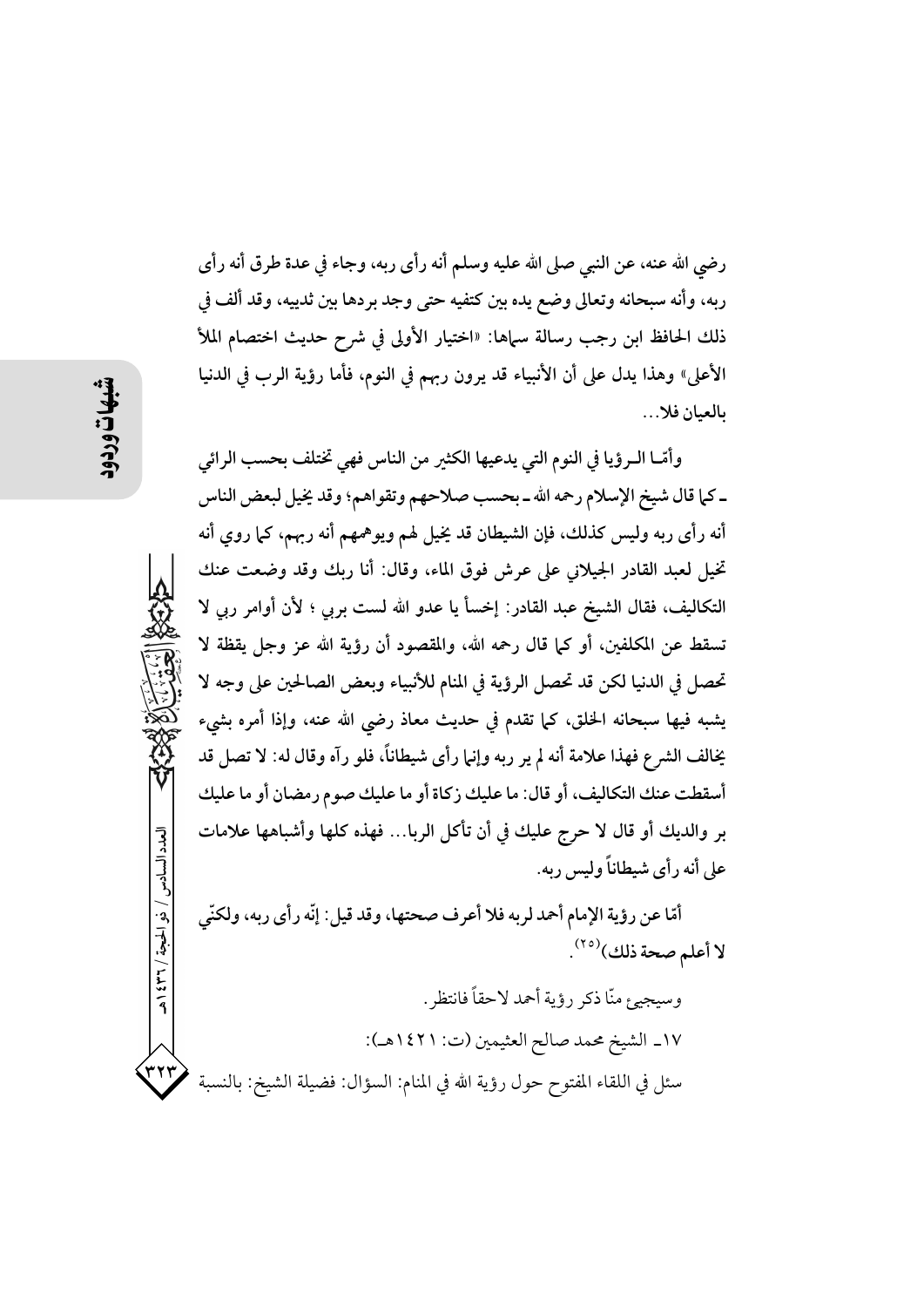رضي الله عنه، عن النبي صلى الله عليه وسلم أنه رأى ربه، وجاء في عدة طرق أنه رأى ربه، وأنه سبحانه وتعالى وضع يده بين كتفيه حتى وجد بردها بين ثدييه، وقد ألف في ذلك الحافظ ابن رجب رسالة سماها: «اختيار الأولى في شرح حديث اختصام الملأ الأعلى» وهذا يدل على أن الأنبياء قد يرون ربهم في النوم، فأما رؤية الرب في الدنيا بالعيان فلا…

وأمّــا الــرؤيا في النوم التي يدعيها الكثير من الناس فهي تختلف بحسب الرائي ـ كما قال شيخ الإسلام رحمه الله ـ بحسب صلاحهم وتقواهم؛ وقد يخيل لبعض الناس أنه رأى ربه وليس كذلك، فإن الشيطان قد يخيل لهم ويوهمهم أنه ربهم، كما روى أنه تخيل لعبد القادر الجيلاني على عرش فوق الماء، وقال: أنا ربك وقد وضعت عنك التكاليف، فقال الشيخ عبد القادر: إخسأ يا عدو الله لست بربي ؛ لأن أوامر ربي لا تسقط عن المكلفين، أو كما قال رحمه الله، والمقصود أن رؤية الله عز وجل يقظة لا تحصل في الدنيا لكن قد تحصل الرؤية في المنام للأنبياء وبعض الصالحين على وجه لا يشبه فيها سبحانه الخلق، كما تقدم في حديث معاذ رضي الله عنه، وإذا أمره بشيء يخالف الشرع فهذا علامة أنه لم ير ربه وإنها رأى شيطاناً، فلو رآه وقال له: لا تصل قد أسقطت عنك التكاليف، أو قال: ما عليك زكاة أو ما عليك صوم رمضان أو ما عليك بر والديك أو قال لا حرج عليك في أن تأكل الربا… فهذه كلها وأشباهها علامات على أنه رأى شيطاناً وليس ربه.

أمّا عن رؤية الإمام أحمد لربه فلا أعرف صحتها، وقد قيل: إنّه رأى ربه، ولكنّى لا أعلم صحة ذلك)<sup>(٢٥)</sup>.

العدد السادس / ذو الحجة / ٣٦٦ هـ وسيجيئ منَّا ذكر رؤية أحمد لاحقاً فانتظر . ١٧\_ الشيخ محمد صالح العثيمين (ت: ١٤٢١هـ): ۳۲۲ سئل في اللقاء المفتوح حول رؤية الله في المنام: السؤال: فضيلة الشيخ: بالنسبة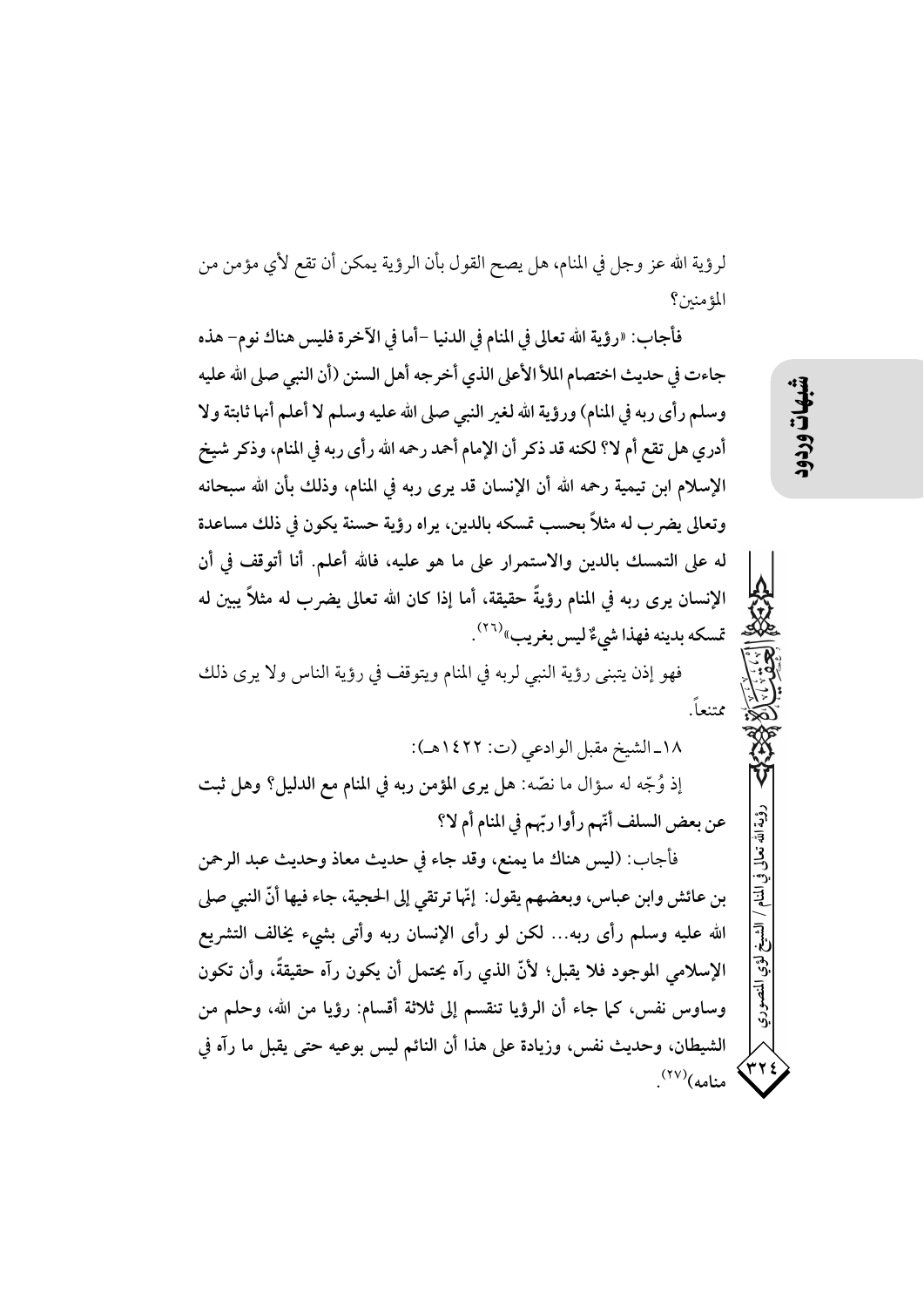لرؤية الله عز وجل في المنام، هل يصح القول بأن الرؤية يمكن أن تقع لأي مؤمن من المؤمنين؟

فأجاب: «رؤية الله تعالى في المنام في الدنيا –أما في الآخرة فليس هناك نوم– هذه جاءت في حديث اختصام الملأ الأعلى الذي أخرجه أهل السنن (أن النبي صلى الله عليه وسلم رأى ربه في المنام) ورؤية الله لغير النبي صلى الله عليه وسلم لا أعلم أنها ثابتة ولا أدري هل تقع أم لا؟ لكنه قد ذكر أن الإمام أحمد رحمه الله رأى ربه في المنام، وذكر شيخ الإسلام ابن تيمية رحمه الله أن الإنسان قد يرى ربه في المنام، وذلك بأن الله سبحانه وتعالى يضرب له مثلاً بحسب تمسكه بالدين، يراه رؤية حسنة يكون في ذلك مساعدة له على التمسك بالدين والاستمرار على ما هو عليه، فالله أعلم. أنا أتوقف في أن الإنسان يرى ربه في المنام رؤيةً حقيقة، أما إذا كان الله تعالى يضرب له مثلاً يبين له تمسكه بدينه فهذا شيءٌ ليس بغريب»<sup>(٢٦)</sup>.

فهو إذن يتبنى رؤية النبي لربه في المنام ويتوقف في رؤية الناس ولا يرى ذلك ممتنعاً.

١٨-الشيخ مقبل الوادعي (ت: ١٤٢٢هـ): إذ وُجِّه له سؤال ما نصِّه: هل يرى المؤمن ربه في المنام مع الدليل؟ وهل ثبت عن بعض السلف أنّهم رأوا ربّهم في المنام أم لا؟ فأجاب: (ليس هناك ما يمنع، وقد جاء في حديث معاذ وحديث عبد الرحمن بن عائش وابن عباس، وبعضهم يقول: إنَّها ترتقي إلى الحجية، جاء فيها أنَّ النبي صلى الله عليه وسلم رأى ربه... لكن لو رأى الإنسان ربه وأتى بشيء يخالف التشريع الإسلامي الموجود فلا يقبل؛ لأنَّ الذي رآه يحتمل أن يكون رآه حقيقةً، وأن تكون وساوس نفس، كما جاء أن الرؤيا تنقسم إلى ثلاثة أقسام: رؤيا من الله، وحلم من الشيطان، وحديث نفس، وزيادة على هذا أن النائم ليس بوعيه حتى يقبل ما رآه في  $\mathcal{N}^{(\Upsilon\Upsilon)}$ منامه)

ؤية الله تعالى

۳۲ :<br>م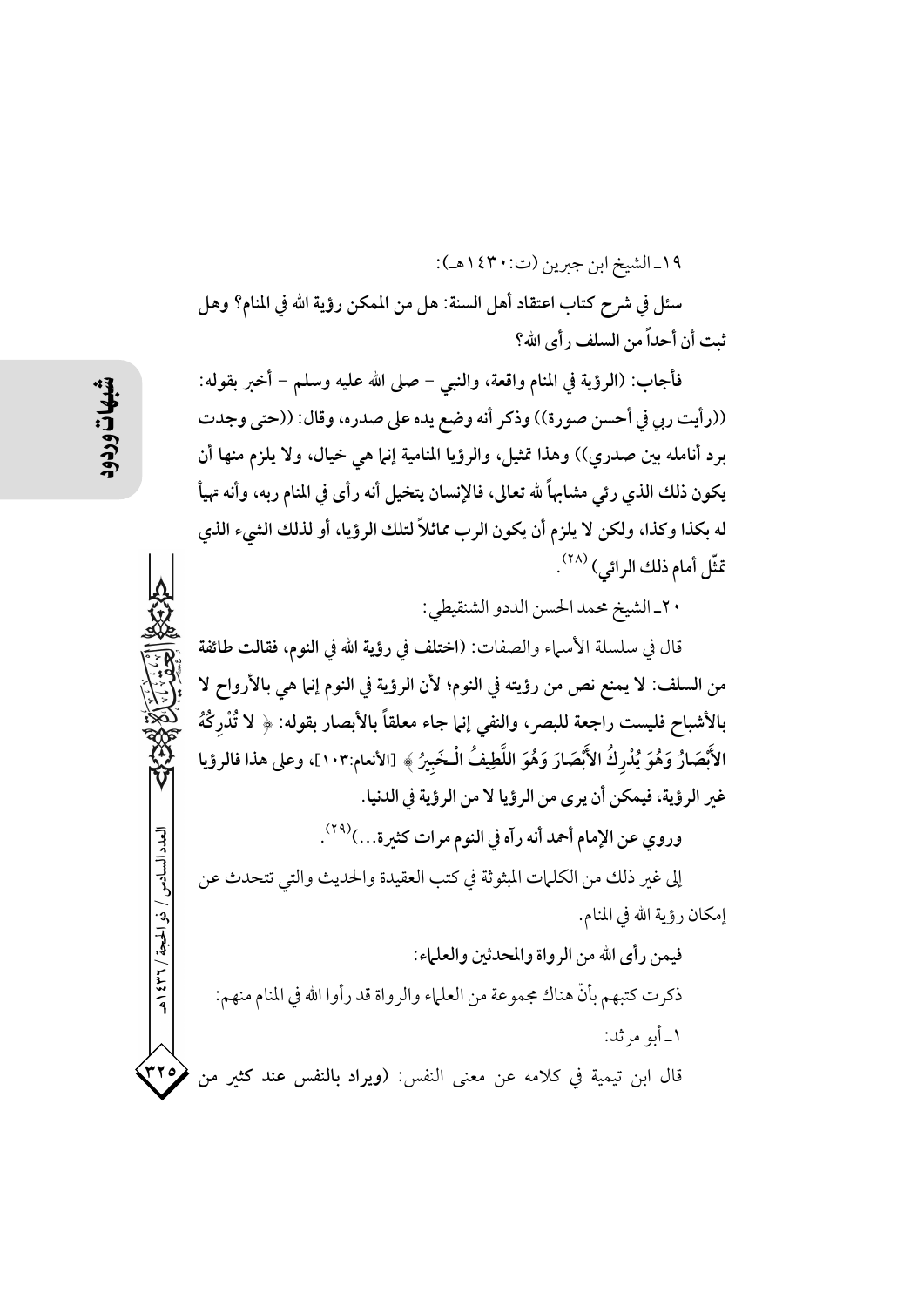١٩-الشيخ ابن جبرين (ت:٤٣٠ هـ): سئل في شرح كتاب اعتقاد أهل السنة: هل من الممكن رؤية الله في المنام؟ وهل ثبت أن أحداً من السلف ر أي الله؟

فأجاب: (الرؤية في المنام واقعة، والنبي – صلى الله عليه وسلم – أخبر بقوله: ((رأيت ربي في أحسن صورة)) وذكر أنه وضع يده على صدره، وقال: ((حتى وجدت برد أنامله بين صدري)) وهذا تمثيل، والرؤيا المنامية إنها هي خيال، ولا يلزم منها أن يكون ذلك الذي رئي مشابهاً لله تعالى، فالإنسان يتخيل أنه رأى في المنام ربه، وأنه تهيأ له بكذا وكذا، ولكن لا يلزم أن يكون الرب مماثلاً لتلك الرؤيا، أو لذلك الشيء الذي تَثَّل أمام ذلك الرائي) (٢٨).

٢٠ـ الشيخ محمد الحسن الددو الشنقيطي:

قال في سلسلة الأسباء والصفات: (اختلف في رؤية الله في النوم، فقالت طائفة من السلف: لا يمنع نص من رؤيته في النوم؛ لأن الرؤية في النوم إنما هي بالأرواح لا بالأشباح فليست راجعة للبصر، والنفي إنها جاء معلقاً بالأبصار بقوله: ﴿ لا تُدْرِكْهُ الأَبْصَارُ وَهُوَ يُدْرِكُ الأَبْصَارَ وَهُوَ اللَّطِيفُ الْخَبِيرُ ﴾ [الأنعام:١٠٣]، وعلى هذا فالرؤيا غير الرؤية، فيمكن أن يرى من الرؤيا لا من الرؤية في الدنيا.

وروي عن الإمام أحمد أنه رآه في النوم مرات كثيرة...)<sup>(٢٩)</sup>.

إلى غير ذلك من الكلمات المبثوثة في كتب العقيدة والحديث والتي تتحدث عن إمكان رؤية الله في المنام.

فيمن رأى الله من الرواة والمحدثين والعلماء: ذكرت كتبهم بأنَّ هناك مجموعة من العلماء والرواة قد رأوا الله في المنام منهم: ۱\_ أبو مرثد:

 $rro$ قال ابن تيمية في كلامه عن معنى النفس: (ويراد بالنفس عند كثير من

العدد السادس

/ ذو الحجة / ٢٦٢ / هـ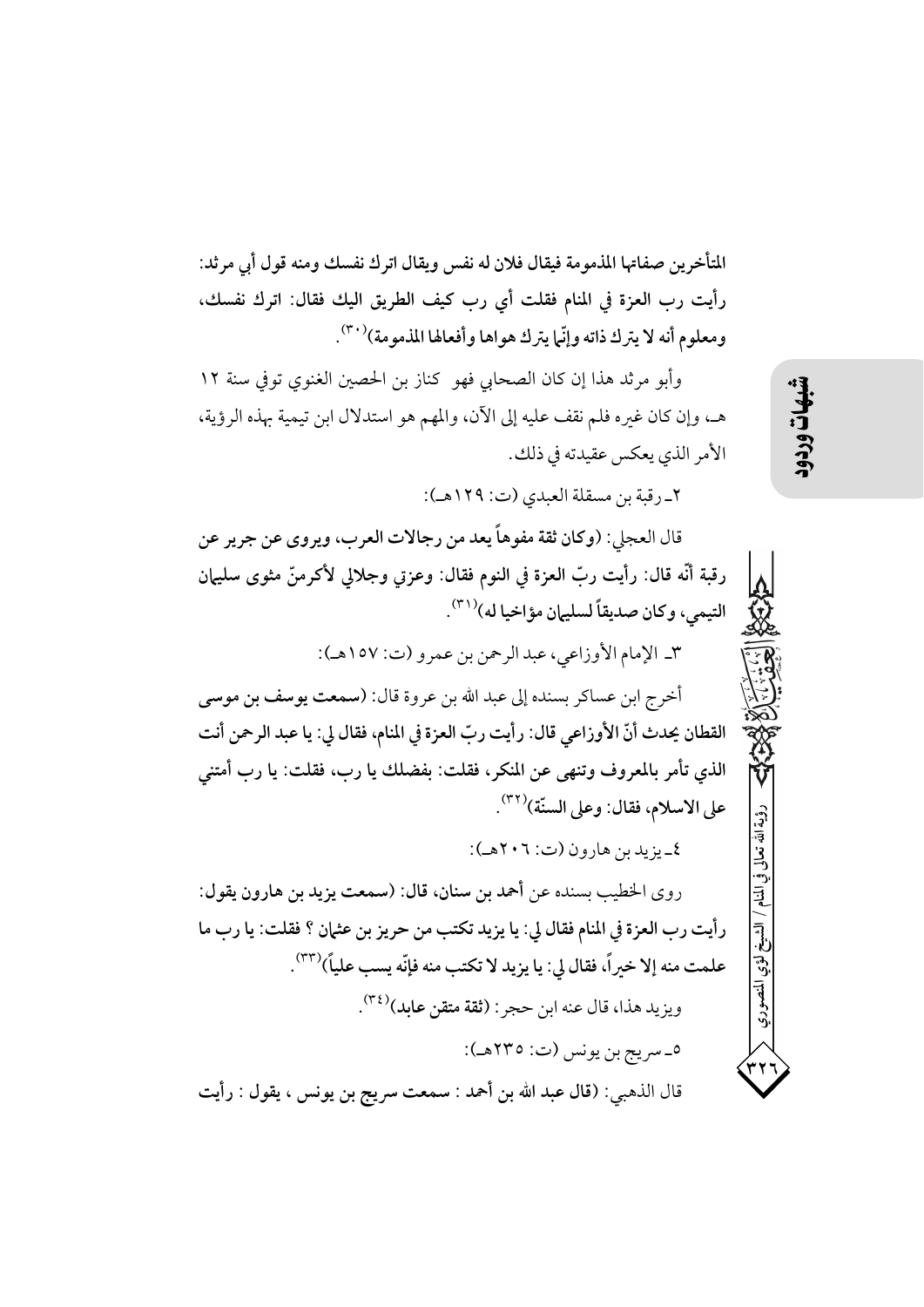المتأخرين صفاتها المذمومة فيقال فلان له نفس ويقال اترك نفسك ومنه قول أي مرثد: رأيت رب العزة في المنام فقلت أي رب كيف الطريق اليك فقال: اترك نفسك، ومعلوم أنه لا يترك ذاته وإنَّما يترك هواها وأفعالها المذمومة)(٣٠).

وأبو مرثد هذا إن كان الصحابي فهو كناز بن الحصين الغنوي توفي سنة ١٢ هـ، وإن كان غيره فلم نقف عليه إلى الآن، والمهم هو استدلال ابن تيمية بهذه الرؤية، الأمر الذي يعكس عقيدته في ذلك.

٢\_ رقبة بن مسقلة العبدي (ت: ١٢٩هـ):

قال العجلي: (وكان ثقة مفوهاً يعد من رجالات العرب، ويروى عن جرير عن رقبة أنَّه قال: رأيت ربِّ العزة في النوم فقال: وعزتي وجلالي لأكرمنَّ مثوى سليهان التيمي، وكان صديقاً لسليهان مؤاخيا له)(٣١).

٣\_ الإمام الأوزاعي، عبد الرحمن بن عمرو (ت: ١٥٧هـ):

أخرج ابن عساكر بسنده إلى عبد الله بن عروة قال: (سمعت يوسف بن موسى القطان يحدث أنّ الأوزاعي قال: رأيت ربّ العزة في المنام، فقال لي: يا عبد الرحمن أنت الذي تأمر بالمعروف وتنهي عن المنكر، فقلت: بفضلك يا رب، فقلت: يا رب أمتني على الاسلام، فقال: وعلى السنّة)(٣٢).

٤\_ يزيد بن هارون (ت: ٢٠٦هـ):

روى الخطيب بسنده عن أحمد بن سنان، قال: (سمعت يزيد بن هارون يقول: رأيت رب العزة في المنام فقال لي: يا يزيد تكتب من حريز بن عثمان ؟ فقلت: يا رب ما علمت منه إلا خيراً، فقال لي: يا يزيد لا تكتب منه فإنّه يسب علياً)(٣٣). ويزيد هذا، قال عنه ابن حجر : (ثقة متقن عابد)<sup>(٣٤)</sup>. ٥\_سريج بن يونس (ت: ٢٣٥هـ): قال الذهبي: (قال عبد الله بن أحمد : سمعت سريج بن يونس ، يقول : رأيت

شبهات

ؤية الله تعالى

لؤي المنصوري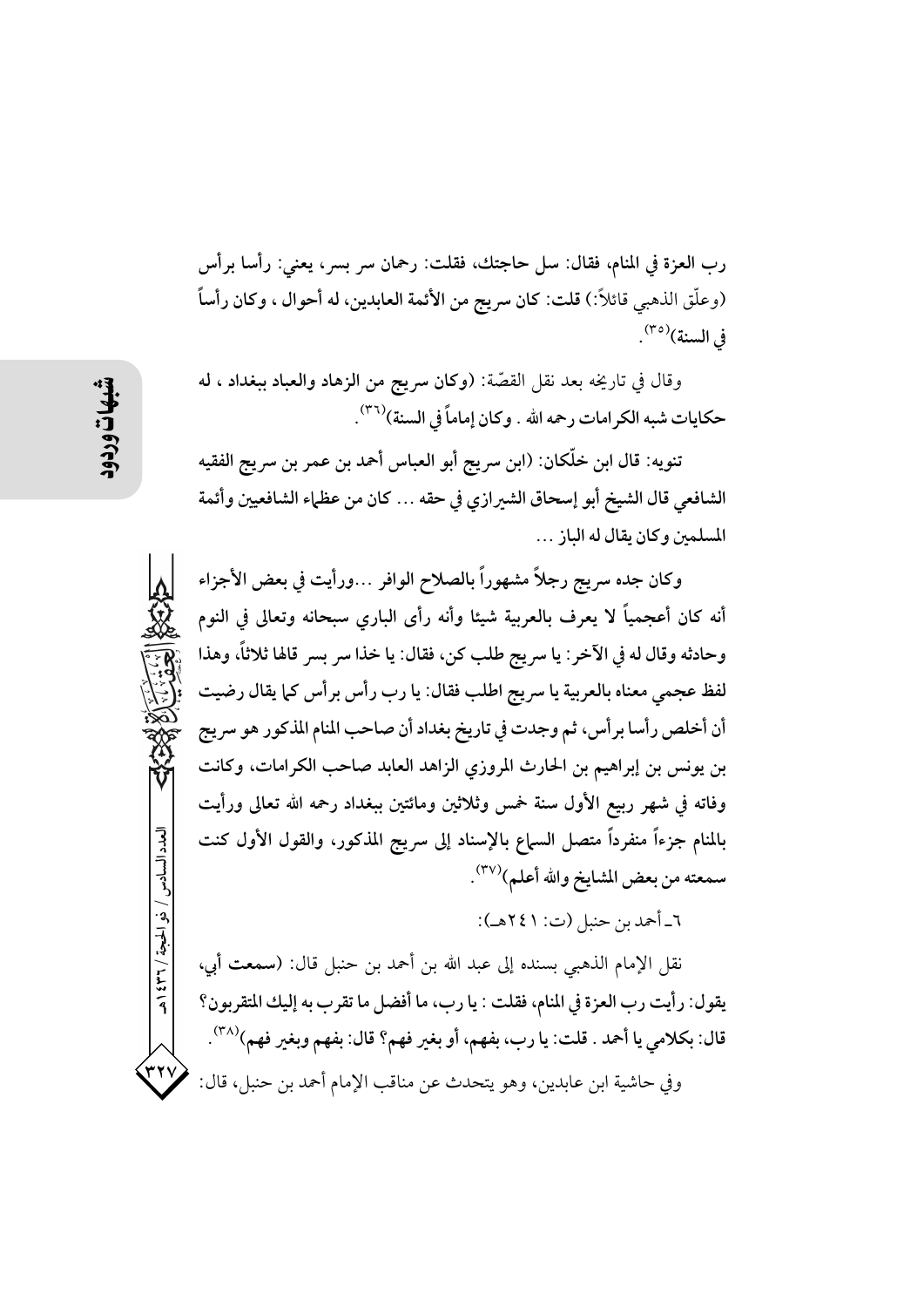رب العزة في المنام، فقال: سلَّ حاجتك، فقلت: رحمان سر بسر، يعني: رأسًا برأس (وعلَّق الذهبي قائلاً:) قلت: كان سريج من الأئمة العابدين، له أحوال ، وكان رأساً في السنة)(٣٥).

وقال في تاريخه بعد نقل القصّة: (وكان سريج من الزهاد والعباد ببغداد ، له حكايات شبه الكر امات رحمه الله . وكان إماماً في السنة)(٣٦).

تنويه: قال ابن خلّكان: (ابن سريج أبو العباس أحمد بن عمر بن سريج الفقيه الشافعي قال الشيخ أبو إسحاق الشيرازي في حقه … كان من عظهاء الشافعيين وأئمة المسلمين وكان بقال له الياز ...

وكان جده سريج رجلاً مشهوراً بالصلاح الوافر …ورأيت في بعض الأجزاء أنه كان أعجمياً لا يعرف بالعربية شيئا وأنه رأى البارى سبحانه وتعالى في النوم وحادثه وقال له في الآخر : يا سريج طلب كن، فقال: يا خذا سر بسر قالها ثلاثاً، وهذا لفظ عجمي معناه بالعربية يا سريج اطلب فقال: يا رب رأس برأس كما يقال رضيت أن أخلص رأسا برأس، ثم وجدت في تاريخ بغداد أن صاحب المنام المذكور هو سريج بن يونس بن إبراهيم بن الحارث المروزي الزاهد العابد صاحب الكرامات، وكانت وفاته في شهر ربيع الأول سنة خمس وثلاثين ومائتين ببغداد رحمه الله تعالى ورأيت بالمنام جزءاً منفرداً متصل السماع بالإسناد إلى سريج المذكور، والقول الأول كنت سمعته من بعض المشايخ والله أعلم)(٣٧).

٦\_ أحمد بن حنبل (ت: ٢٤١هـ):

نقل الإمام الذهبي بسنده إلى عبد الله بن أحمد بن حنبل قال: (سمعت أبي، يقول: رأيت رب العزة في المنام، فقلت : يا رب، ما أفضل ما تقرب به إليك المتقربون؟ قال: بكلامي يا أحمد . قلت: يا رب، بفهم، أو بغير فهم؟ قال: بفهم وبغير فهم)(٣٨) . وفي حاشية ابن عابدين، وهو يتحدث عن مناقب الإمام أحمد بن حنبل، قال:

العدد السادس / ذو الحجة / ٣٦٦ هـ

٣٢y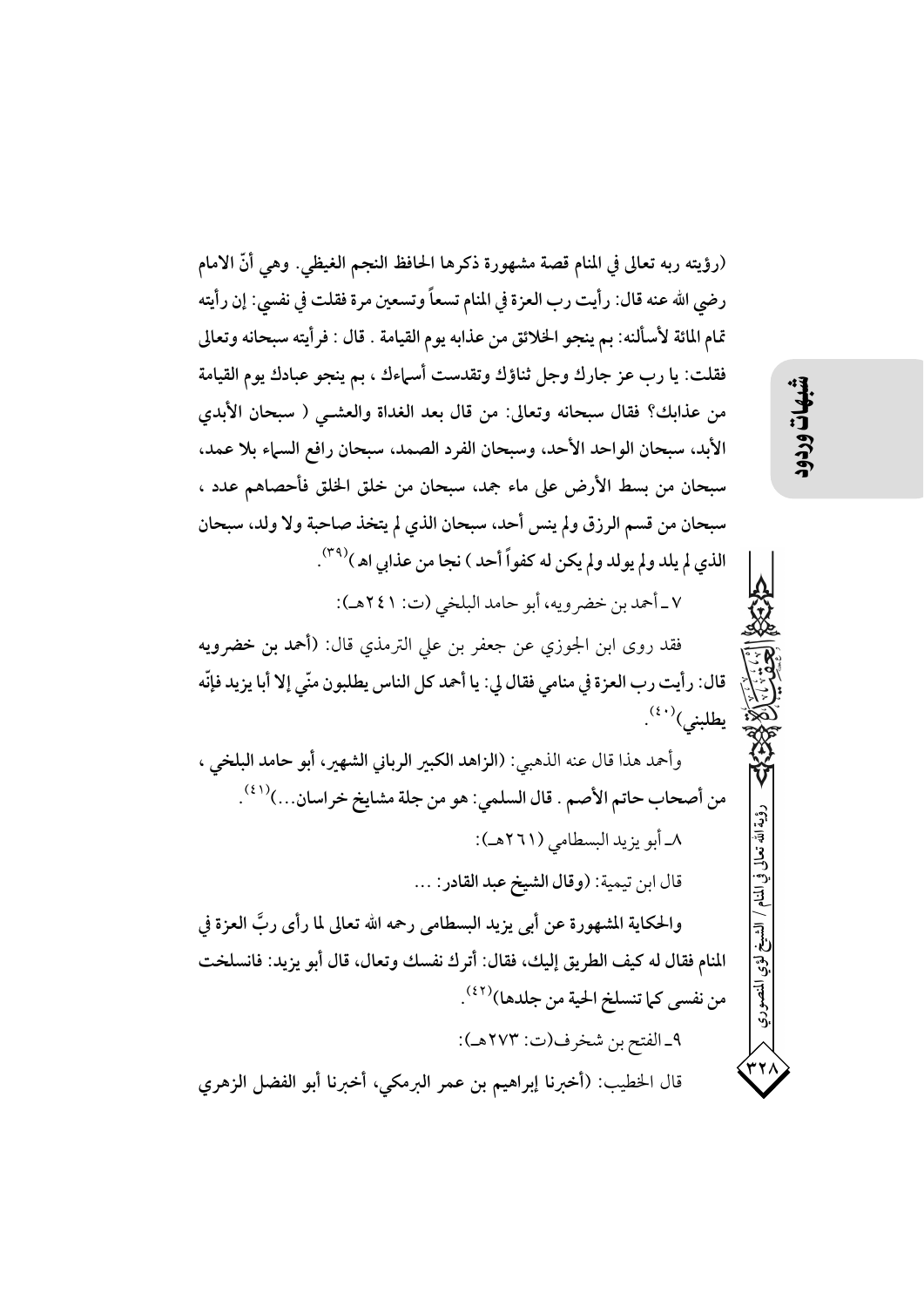(رؤيته ربه تعالى في المنام قصة مشهورة ذكرها الحافظ النجم الغيظي. وهي أنَّ الامام رضي الله عنه قال: رأيت رب العزة في المنام تسعاً وتسعين مرة فقلت في نفسي: إن رأيته تمام المائة لأسألنه: بم ينجو الخلائق من عذابه يوم القيامة . قال : فرأيته سبحانه وتعالى فقلت: يا رب عز جارك وجل ثناؤك وتقدست أسهاءك ، بم ينجو عبادك يوم القيامة من عذابك؟ فقال سبحانه وتعالى: من قال بعد الغداة والعشـى ( سبحان الأبدي الأبد، سبحان الواحد الأحد، وسبحان الفرد الصمد، سبحان رافع السباء بلا عمد، سبحان من بسط الأرض على ماء جمد، سبحان من خلق الخلق فأحصاهم عدد ، سبحان من قسم الرزق ولم ينس أحد، سبحان الذي لم يتخذ صاحبة ولا ولد، سبحان الذي لم يلد ولم يولد ولم يكن له كفواً أحد ) نجا من عذابي اه )(٣٩). ٧\_أحمد بن خضرويه، أبو حامد البلخي (ت: ٢٤١هـ): فقد روى ابن الجوزي عن جعفر بن على الترمذي قال: (أحمد بن خضرويه قال: رأيت رب العزة في منامي فقال لي: يا أحمد كل الناس يطلبون منّي إلا أبا يزيد فإنّه

وأحمد هذا قال عنه الذهبي: (الزاهد الكبير الرباني الشهير، أبو حامد البلخي ، من أصحاب حاتم الأصم . قال السلمي: هو من جلة مشايخ خراسان...)((3). ٨ـ أبو يزيد البسطامي (٢٦١هـ): قال ابن تيمية: (وقال الشيخ عبد القادر: ... والحكاية المشهورة عن أبي يزيد البسطامي رحمه الله تعالى لما رأى ربَّ العزة في المنام فقال له كيف الطريق إليك، فقال: أترك نفسك وتعال، قال أبو يزيد: فانسلخت

من نفسي كما تنسلخ الحية من جلدها)(<sup>٤٢)</sup>. ٩\_الفتح بن شخرف(ت: ٢٧٣هـ):

قال الخطيب: (أخبرنا إبراهيم بن عمر البرمكي، أخبرنا أبو الفضل الزهري

يطلبنى) (٤٠).

ؤية الله تعالى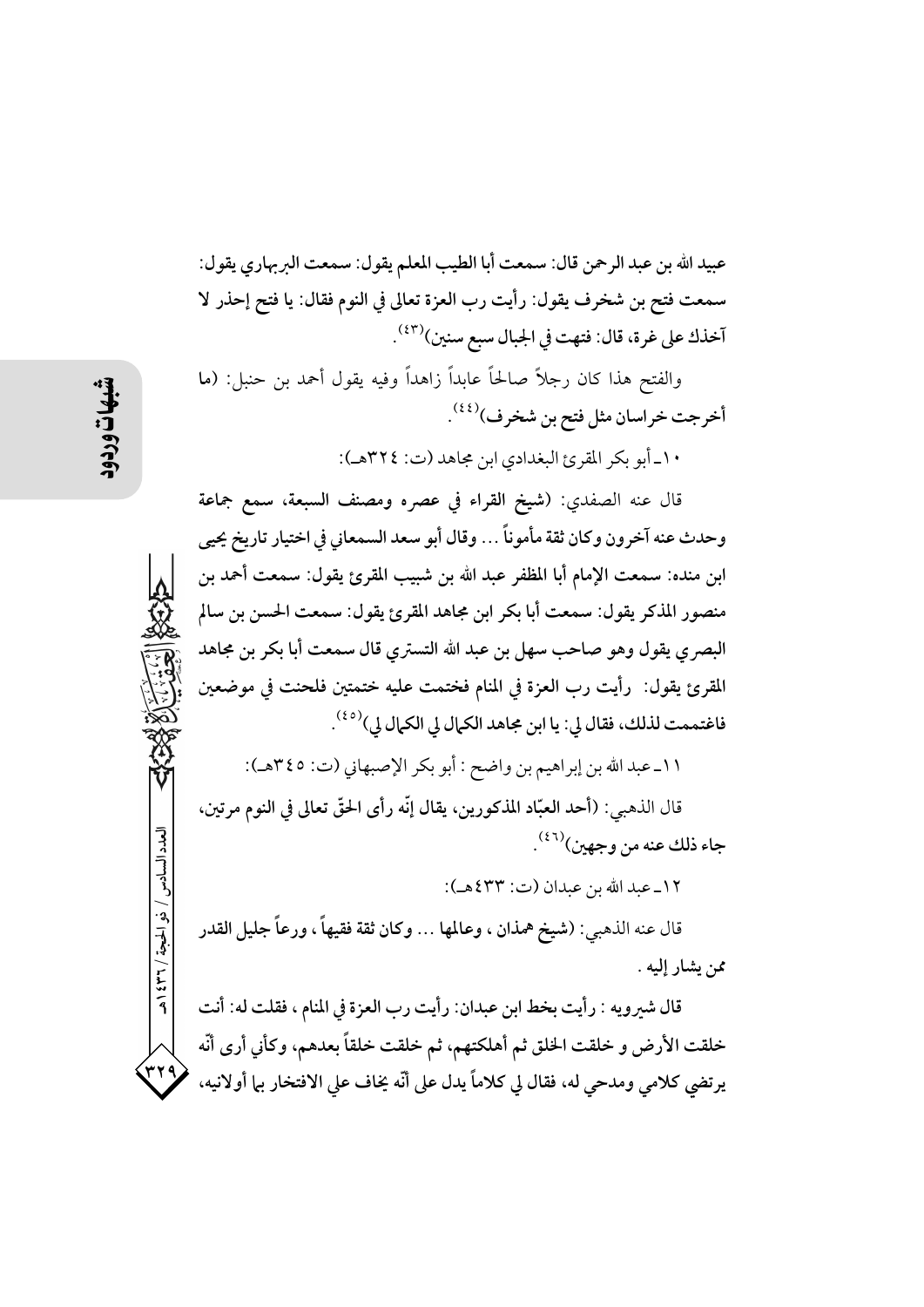عبيد الله بن عبد الرحمن قال: سمعت أبا الطيب المعلم يقول: سمعت البربهاري يقول: سمعت فتح بن شخرف يقول: رأيت رب العزة تعالى في النوم فقال: يا فتح إحذر لا آخذك على غرة، قال: فتهت في الجبال سبع سنين)(٤٣).

والفتح هذا كان رجلاً صالحاً عابداً زاهداً وفيه يقول أحمد بن حنبل: (ما أخرجت خراسان مثل فتح بن شخرف)<sup>(٤٤)</sup>.

١٠\_ أبو بكر المقرئ البغدادي ابن مجاهد (ت: ٣٢٤هـ):

قال عنه الصفدي: (شيخ القراء في عصره ومصنف السبعة، سمع جماعة وحدث عنه آخرون وكان ثقة مأموناً … وقال أبو سعد السمعاني في اختيار تاريخ يحيى ابن منده: سمعت الإمام أبا المظفر عبد الله بن شبيب المقرئ يقول: سمعت أحمد بن منصور المذكر يقول: سمعت أبا بكر ابن مجاهد المقرئ يقول: سمعت الحسن بن سالم البصري يقول وهو صاحب سهل بن عبد الله التستري قال سمعت أبا بكر بن مجاهد المقرئ يقول: رأيت رب العزة في المنام فختمت عليه ختمتين فلحنت في موضعين فاغتممت لذلك، فقال لي: يا ابن مجاهد الكمال لي الكمال لي)<sup>(٤٥)</sup>.

١١ـ عبد الله بن إبراهيم بن واضح : أبو بكر الإصبهاني (ت: ٣٤٥هـ): قال الذهبي: (أحد العبّاد المذكورين، يقال إنّه رأى الحقّ تعالى في النوم مرتين، جاء ذلك عنه من وجهين)(٤٦) .

١٢ـ عبد الله بن عبدان (ت: ٤٣٣هـ):

قال عنه الذهبي: (شيخ همذان ، وعالمها … وكان ثقة فقيهاً ، ورعاً جليل القدر ممن يشار إليه .

قال شيرويه : رأيت بخط ابن عبدان: رأيت رب العزة في المنام ، فقلت له: أنت خلقت الأرض و خلقت الخلق ثم أهلكتهم، ثم خلقت خلقاً بعدهم، وكأني أرى أنّه يرتضي كلامي ومدحى له، فقال لي كلاماً يدل على أنّه يخاف على الافتخار بها أولانيه،

العدد السادس / ذو الحجة / ٣٦ / ٤٣٩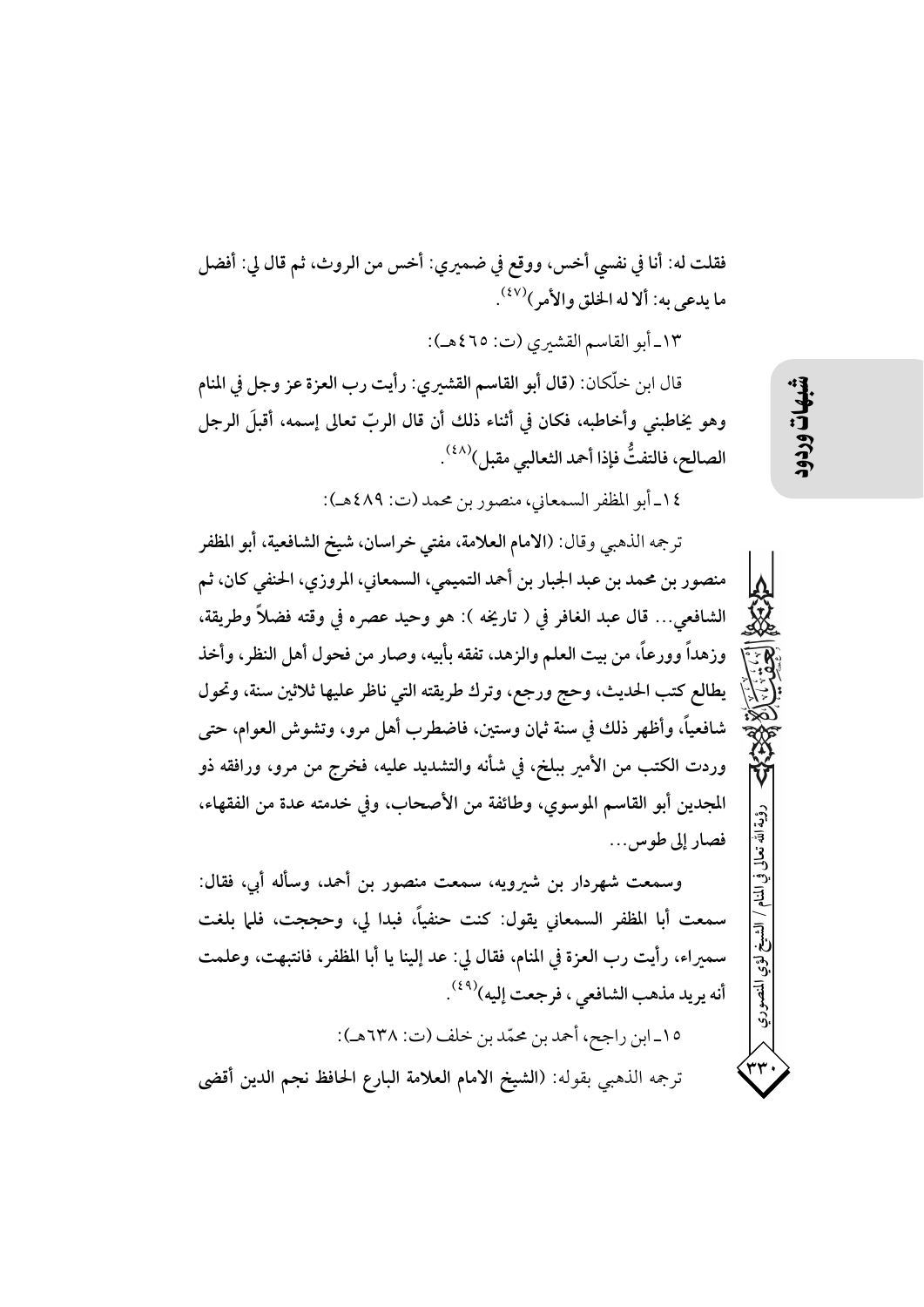فقلت له: أنا في نفسي أخس، ووقع في ضميري: أخس من الروث، ثم قال لي: أفضل ما يدعى به: ألا له الخلق والأمر )(<sup>٤٧)</sup>.

١٣-أبو القاسم القشيري (ت: ٤٦٥هـ):

قال ابن خلَّكان: (قال أبو القاسم القشيري: رأيت رب العزة عز وجل في المنام وهو يخاطبني وأخاطبه، فكان في أثناء ذلك أن قال الربّ تعالى إسمه، أقبلَ الرجل الصالح، فالتفتُّ فإذا أحمد الثعالبي مقبل) $^{(\lambda\lambda)}$ .

١٤ـ أبو المظفر السمعاني، منصور بن محمد (ت: ٤٨٩هـ):

ترجمه الذهبي وقال: (الامام العلامة، مفتى خراسان، شيخ الشافعية، أبو المظفر منصور بن محمد بن عبد الجبار بن أحمد التميمي، السمعاني، المروزي، الحنفي كان، ثم الشافعي... قال عبد الغافر في ( تاريخه ): هو وحيد عصره في وقته فضلاً وطريقة، وزهداً وورعاً، من بيت العلم والزهد، تفقه بأبيه، وصار من فحول أهل النظر، وأخذ يطالع كتب الحديث، وحج ورجع، وترك طريقته التي ناظر عليها ثلاثين سنة، وتحول شافعياً، وأظهر ذلك في سنة ثمان وستين، فاضطرب أهل مرو، وتشوش العوام، حتى وردت الكتب من الأمير ببلخ، في شأنه والتشديد عليه، فخرج من مرو، ورافقه ذو المجدين أبو القاسم الموسوي، وطائفة من الأصحاب، وفي خدمته عدة من الفقهاء، فصار إلى طوس...

وسمعت شهردار بن شيرويه، سمعت منصور بن أحمد، وسأله أبي، فقال: سمعت أبا المظفر السمعاني يقول: كنت حنفياً، فبدا لي، وحججت، فلما بلغت سمبراء، رأيت رب العزة في المنام، فقال لي: عد إلينا يا أبا المظفر، فانتبهت، وعلمت أنه يريد مذهب الشافعي ، فرجعت إليه)<sup>(٤٩)</sup>. ١٥\_ابن راجح، أحمد بن محمّد بن خلف (ت: ٦٣٨هـ):

ترجمه الذهبي بقوله: (الشيخ الامام العلامة البارع الحافظ نجم الدين أقضى

شهات

رؤية الله نعا!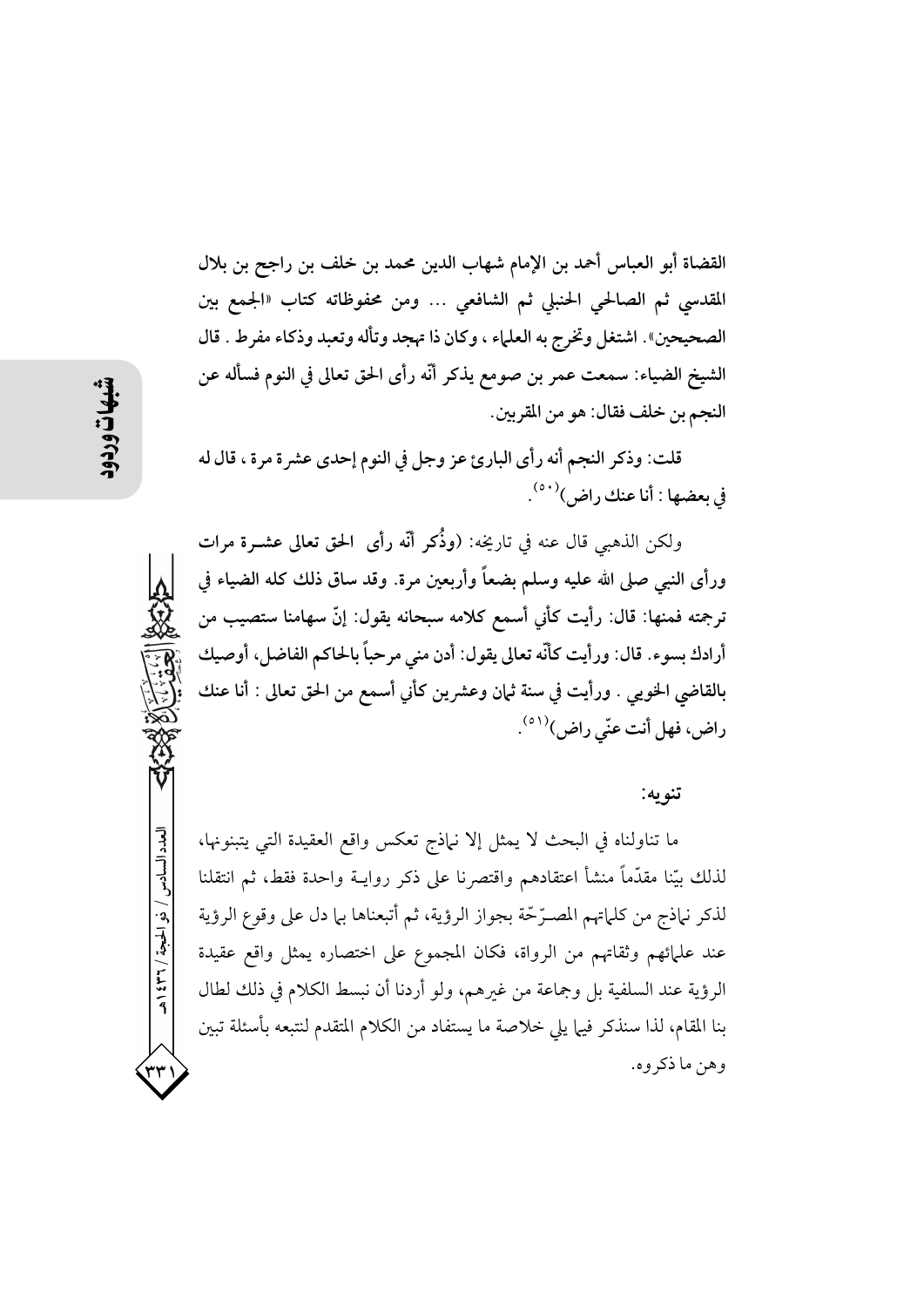القضاة أبو العباس أحمد بن الإمام شهاب الدين محمد بن خلف بن راجح بن بلال المقدسي ثم الصالحي الحنبلي ثم الشافعي … ومن محفوظاته كتاب «الجمع بين الصحيحين». اشتغل وتخرج به العلماء ، وكان ذا تهجد وتأله وتعبد وذكاء مفرط . قال الشيخ الضياء: سمعت عمر بن صومع يذكر أنَّه رأى الحق تعالى في النوم فسأله عن النجم بن خلف فقال: هو من المقربين.

قلت: وذكر النجم أنه رأى البارئ عز وجل في النوم إحدى عشرة مرة ، قال له في بعضها : أنا عنك راض)(٥٠).

ولكن الذهبي قال عنه في تاريخه: (وذُكر أنَّه رأى الحق تعالى عشــرة مرات ورأى النبي صلى الله عليه وسلم بضعاً وأربعين مرة. وقد ساق ذلك كله الضياء في ترجمته فمنها: قال: رأيت كأني أسمع كلامه سبحانه يقول: إنَّ سهامنا ستصيب من أرادك بسوء. قال: ورأيت كأنَّه تعالى يقول: أدن منى مرحباً بالحاكم الفاضل، أوصيك بالقاضي الخويي . ورأيت في سنة ثمان وعشرين كأني أسمع من الحق تعالى : أنا عنك راض، فهل أنت عنّى راض)<sup>(٥١)</sup>.

## تنو په:

ما تناولناه في البحث لا يمثل إلا نباذج تعكس واقع العقيدة التي يتبنونها، لذلك بيّنا مقدَّماً منشأ اعتقادهم واقتصرنا على ذكر روايــة واحدة فقط، ثم انتقلنا لذكر نباذج من كلماتهم المصـرِّحَّة بجواز الرؤية، ثم أتبعناها بيا دل على وقوع الرؤية عند علمائهم وثقاتهم من الرواة، فكان المجموع على اختصاره يمثل واقع عقيدة الرؤية عند السلفية بل وجماعة من غيرهم، ولو أردنا أن نبسط الكلام في ذلك لطال بنا المقام، لذا سنذكر فيها يلي خلاصة ما يستفاد من الكلام المتقدم لنتبعه بأسئلة تبين وهن ما ذكروه.

العدد السادس / ذو الحجة / ٣٦ / ٤٣٩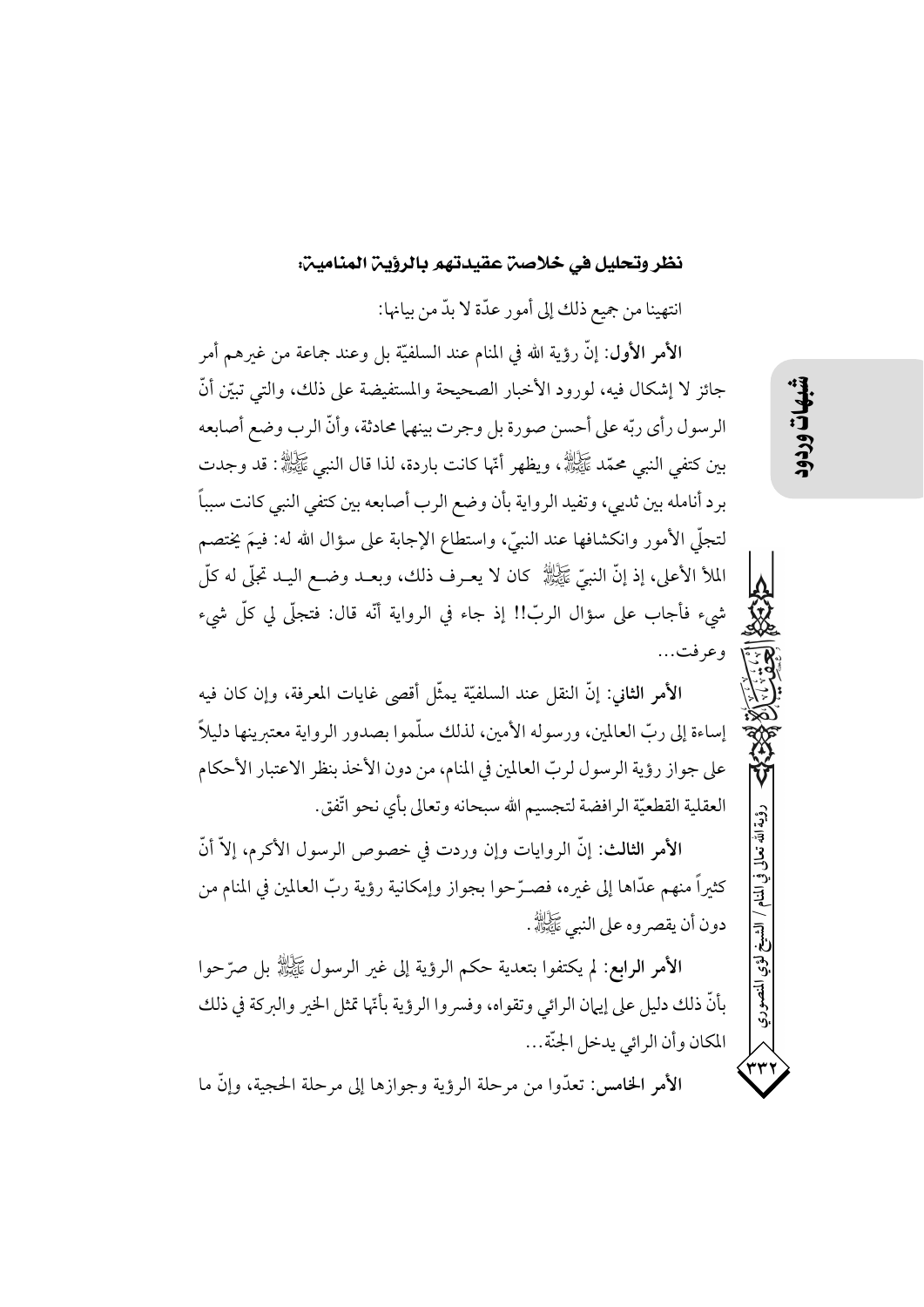## نظر وتحليل في خلاصن عقيدتهم بالرؤين المنامين:

انتهينا من جميع ذلك إلى أمور عدّة لا بدّ من بيانها:

الأمر الأول: إنَّ رؤية الله في المنام عند السلفيَّة بل وعند جماعة من غيرهم أمر جائز لا إشكال فيه، لورود الأخبار الصحيحة والمستفيضة على ذلك، والتي تبيّن أنّ الرسول رأي ربِّه على أحسن صورة بل وجرت بينهما محادثة، وأنَّ الرب وضع أصابعه بِينِ كَتْفَى النَّبِي مُحَمَّدٌ ﷺ، ويظهر أنَّها كانت باردة، لذا قال النبي ﷺ: قد وجدت برد أنامله بين ثديي، وتفيد الرواية بأن وضع الرب أصابعه بين كتفي النبي كانت سبباً لتجلَّى الأمور وانكشافها عند النبيِّ، واستطاع الإجابة على سؤال الله له: فيمَ يختصم الملأ الأعلى، إذ إنَّ النبيِّ ﷺ كان لا يعـرف ذلك، وبعــد وضــع اليــد تجلَّى له كلَّ شيء فأجاب على سؤال الربّ!! إذ جاء في الرواية أنّه قال: فتجلَّى لي كلِّ شيء وعرفت...

الأمر الثاني: إنَّ النقل عند السلفيَّة يمثَّل أقصى غايات المعرفة، وإن كان فيه إساءة إلى ربِّ العالمين، ورسوله الأمين، لذلك سلَّموا بصدور الرواية معتبرينها دليلاً على جواز رؤية الرسول لربِّ العالمين في المنام، من دون الأخذ بنظر الاعتبار الأحكام العقلية القطعيّة الرافضة لتجسيم الله سبحانه وتعالى بأي نحو اتّفق.

الأمر الثالث: إنَّ الروايات وإن وردت في خصوص الرسول الأكرم، إلاَّ أنَّ كثيراً منهم عدَّاها إلى غيره، فصـرَّحوا بجواز وإمكانية رؤية ربِّ العالمين في المنام من دون أن يقصر وه على النبي ﷺ.

الأمر الرابع: لم يكتفوا بتعدية حكم الرؤية إلى غير الرسول ﷺ بل صرَّحوا بأنَّ ذلك دليل على إيهان الرائي وتقواه، وفسروا الرؤية بأنَّها تمثل الخير والبركة في ذلك المكان وأن الرائي يدخل الجنّة...

الأمر الخامس: تعدُّوا من مرحلة الرؤية وجوازها إلى مرحلة الحجبة، وإنَّ ما

رؤية الله تعالى

في المنام / الشيخ

ِ<br>لومی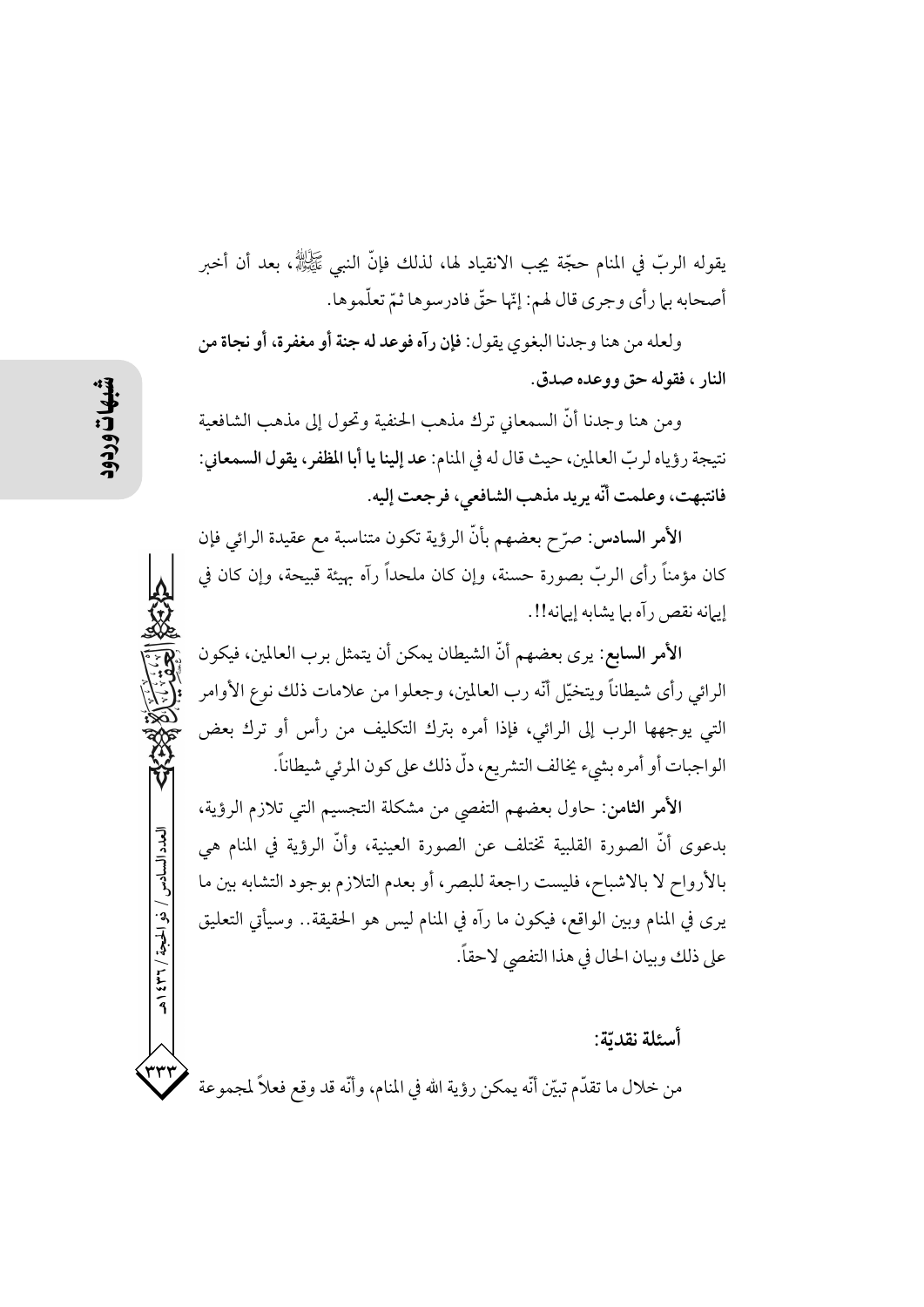يقوله الربّ في المنام حجّة يجب الانقياد لها، لذلك فإنَّ النبي ﷺ، بعد أن أخبر أصحابه بلمرأي وجري قال لهم: إنّها حقّ فادرسوها ثمّ تعلّموها.

ولعله من هنا وجدنا البغوي يقول: فإن رآه فوعد له جنة أو مغفرة، أو نجاة من النار ، فقوله حق ووعده صدق.

ومن هنا وجدنا أنَّ السمعاني ترك مذهب الحنفية وتحول إلى مذهب الشافعية نتيجة رؤياه لربِّ العالمين، حيث قال له في المنام: عد إلينا يا أبا المظفر، يقول السمعاني: فانتبهت، وعلمت أنَّه يريد مذهب الشافعي، فرجعت إليه.

الأمر السادس: صرّح بعضهم بأنّ الرؤية تكون متناسبة مع عقيدة الرائي فإن كان مؤمناً رأى الربّ بصورة حسنة، وإن كان ملحداً رآه بهيئة قبيحة، وإن كان في إيهانه نقص رآه بها يشابه إيهانه!!.

الأمر السابع: يرى بعضهم أنَّ الشيطان يمكن أن يتمثل برب العالمين، فيكون الرائي رأى شيطاناً ويتخيّل أنّه رب العالمين، وجعلوا من علامات ذلك نوع الأوامر التي يوجهها الرب إلى الرائي، فإذا أمره بترك التكليف من رأس أو ترك بعض الواجبات أو أمره بشيء يخالف التشريع، دلّ ذلك على كون المرئي شيطاناً.

الأمر الثامن: حاول بعضهم التفصي من مشكلة التجسيم التي تلازم الرؤية، بدعوى أنَّ الصورة القلبية تختلف عن الصورة العينية، وأنَّ الرؤية في المنام هي بالأرواح لا بالاشباح، فليست راجعة للبصر، أو بعدم التلازم بوجود التشابه بين ما يرى في المنام وبين الواقع، فيكون ما رآه في المنام ليس هو الحقيقة.. وسيأتي التعليق على ذلك وبيان الحال في هذا التفصي لاحقاً.

أسئلة نقدتة:

من خلال ما تقدَّم تبيَّن أنَّه يمكن رؤية الله في المنام، وأنَّه قد وقع فعلاً لمجموعة

العدد السادس / ذو الحجة / ٣٦ / ٤٣٩

۳۳۲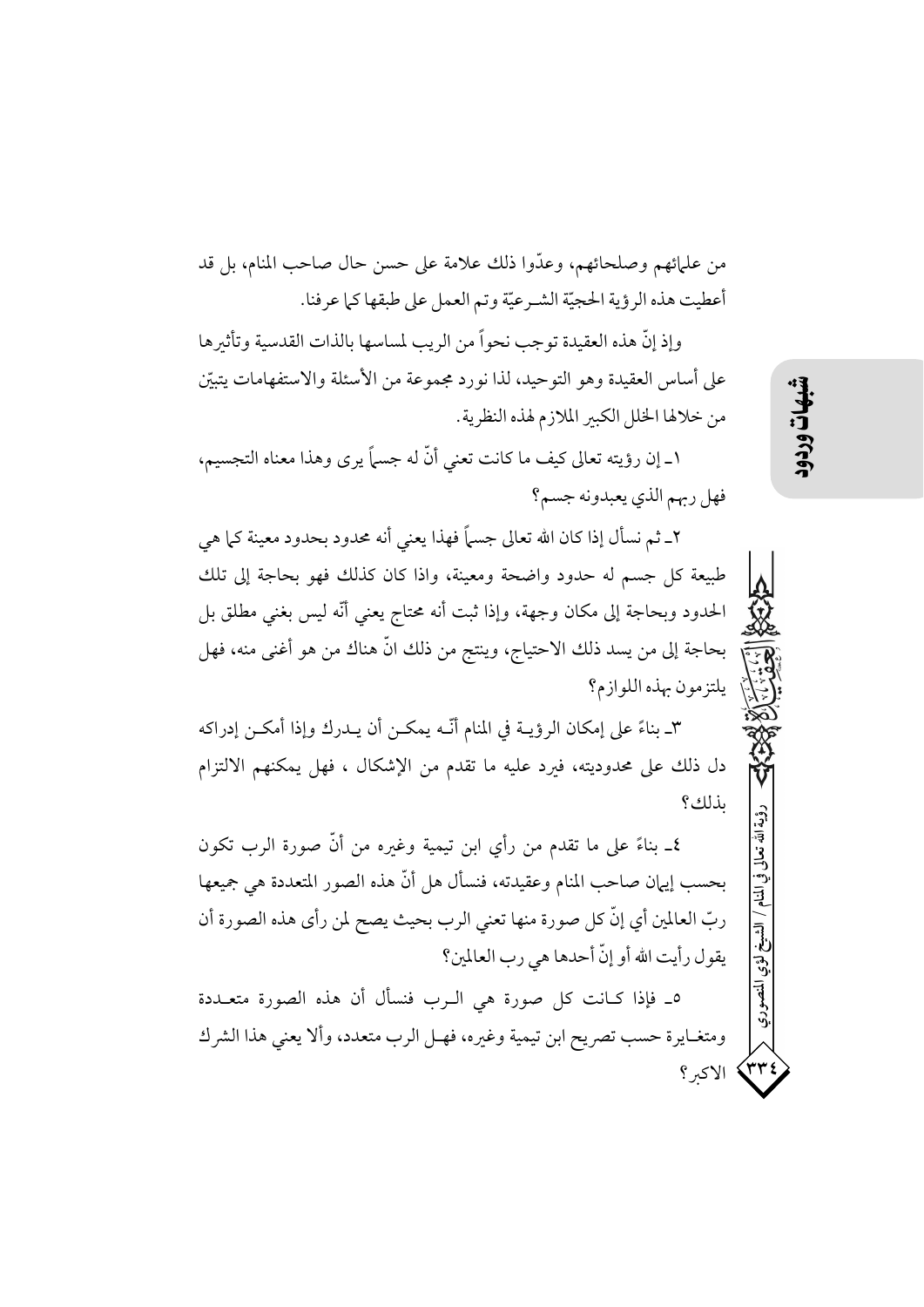من علمائهم وصلحائهم، وعدَّوا ذلك علامة على حسن حال صاحب المنام، بل قد أعطيت هذه الرؤية الحجيّة الشـرعيّة وتم العمل على طبقها كما عرفنا.

وإذ إنَّ هذه العقيدة توجب نحواً من الريب لمساسها بالذات القدسية وتأثيرها على أساس العقيدة وهو التوحيد، لذا نورد مجموعة من الأسئلة والاستفهامات يتبيّن من خلالها الخلل الكبير الملازم لهذه النظرية.

١\_ إن رؤيته تعالى كيف ما كانت تعني أنَّ له جسماً يرى وهذا معناه التجسيم، فهل ربهم الذي يعبدونه جسم؟

٢ـ ثـم نسأل إذا كان الله تعالى جسماً فهذا يعنى أنه محدود بحدود معينة كـما هي طبيعة كل جسم له حدود واضحة ومعينة، واذا كان كذلك فهو بحاجة إلى تلك الحدود وبحاجة إلى مكان وجهة، وإذا ثبت أنه محتاج يعني أنَّه ليس بغني مطلق بل بحاجة إلى من يسد ذلك الاحتياج، وينتج من ذلك انَّ هناك من هو أغنى منه، فهل يلتزمون بهذه اللوازم؟

٣ـ بناءً على إمكان الرؤيــة في المنام أنّــه يمكــن أن يــدرك وإذا أمكــن إدراكه دل ذلك على محدوديته، فيرد عليه ما تقدم من الإشكال ، فهل يمكنهم الالتزام بذلك؟

٤\_ بناءً على ما تقدم من رأى ابن تيمية وغيره من أنَّ صورة الرب تكون بحسب إيهان صاحب المنام وعقيدته، فنسأل هل أنَّ هذه الصور المتعددة هي جميعها ربِّ العالمين أي إنَّ كل صورة منها تعني الرب بحيث يصح لمن رأى هذه الصورة أن يقول رأيت الله أو إنَّ أحدها هي رب العالمين؟

٥\_ فإذا كـانت كل صورة هي الـرب فنسأل أن هذه الصورة متعــددة ومتغـايرة حسب تصريح ابن تيمية وغيره، فهـل الرب متعدد، وألا يعني هذا الشر ك الاكبر؟ روية

国王

آه<br>پي

 $\left\langle \mathbf{r}\mathbf{r}% _{1}\right\rangle \left\langle \mathbf{r}\mathbf{r}\right\rangle \left\langle \mathbf{r}\mathbf{r}\right\rangle \left\langle \mathbf{r}\mathbf{r}\right\rangle \left\langle \mathbf{r}\mathbf{r}\right\rangle \left\langle \mathbf{r}\mathbf{r}\right\rangle \left\langle \mathbf{r}\mathbf{r}\right\rangle \left\langle \mathbf{r}\mathbf{r}\right\rangle \left\langle \mathbf{r}\mathbf{r}\right\rangle \left\langle \mathbf{r}\mathbf{r}\right\rangle \left\langle \mathbf{r}\mathbf{r}\right\rangle \left\langle \mathbf{r}\mathbf{r}\right\rangle$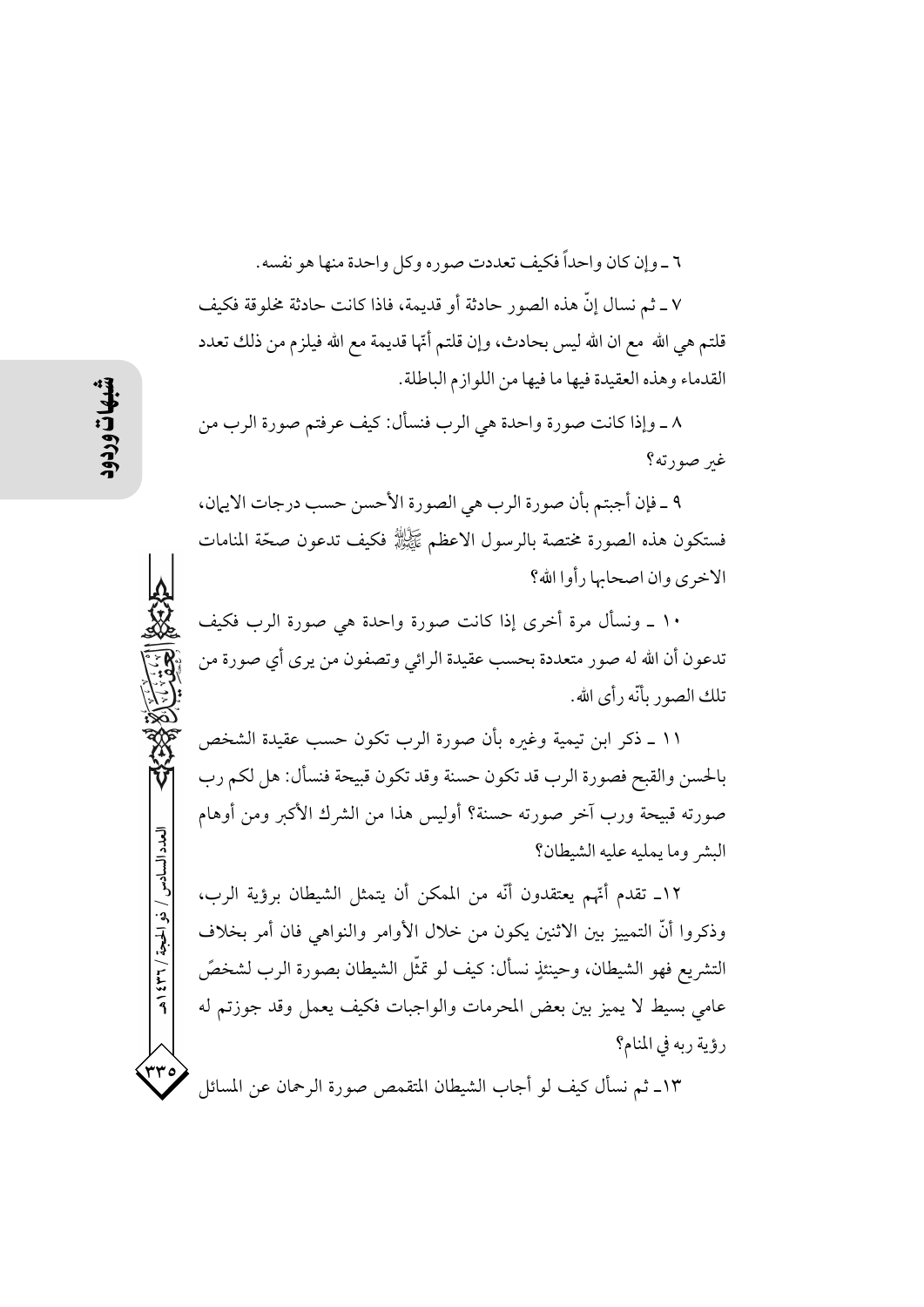٦ \_ و إن كان و احداً فكيف تعددت صوره و كل واحدة منها هو نفسه.

٧ ـ ثم نسال إنَّ هذه الصور حادثة أو قديمة، فاذا كانت حادثة مخلوقة فكيف قلتم هي الله ً مع ان الله ليس بحادث، وإن قلتم أُمَّها قديمة مع الله فيلزم من ذلك تعدد القدماء وهذه العقيدة فيها ما فيها من اللوازم الباطلة.

٨ ـ وإذا كانت صورة واحدة هي الرب فنسأل: كيف عرفتم صورة الرب من غير صورته؟

٩ ـ فإن أجبتم بأن صورة الرب هي الصورة الأحسن حسب درجات الايهان، فستكون هذه الصورة مختصة بالرسول الاعظم ﷺ فكيف تدعون صحّة المنامات الاخرى وإن اصحابها رأوا الله؟

١٠ ـ ونسأل مرة أخرى إذا كانت صورة واحدة هي صورة الرب فكيف تدعون أن الله له صور متعددة بحسب عقيدة الرائي وتصفون من يرى أي صورة من تلك الصور بأنّه رأى الله.

١١ ـ ذكر ابن تيمية وغيره بأن صورة الرب تكون حسب عقيدة الشخص بالحسن والقبح فصورة الرب قد تكون حسنة وقد تكون قبيحة فنسأل: هل لكم رب صورته قبيحة ورب آخر صورته حسنة؟ أوليس هذا من الشرك الأكبر ومن أوهام البشر وما يمليه عليه الشيطان؟

١٢\_ تقدم أُنَّهم يعتقدون أنَّه من الممكن أن يتمثل الشيطان برؤية الرب، وذكروا أنَّ التمييز بين الاثنين يكون من خلال الأوامر والنواهي فان أمر بخلاف التشريع فهو الشيطان، وحينئذٍ نسأل: كيف لو تمثَّل الشيطان بصورة الرب لشخصَّ عامي بسيط لا يميز بين بعض المحرمات والواجبات فكيف يعمل وقد جوزتم له رؤية ربه في المنام؟

١٣ـ ثم نسأل كيف لو أجاب الشيطان المتقمص صورة الرحمان عن المسائل

العدد السادس / ذو الحجة / ٣٦٦ / هـ

و۳۳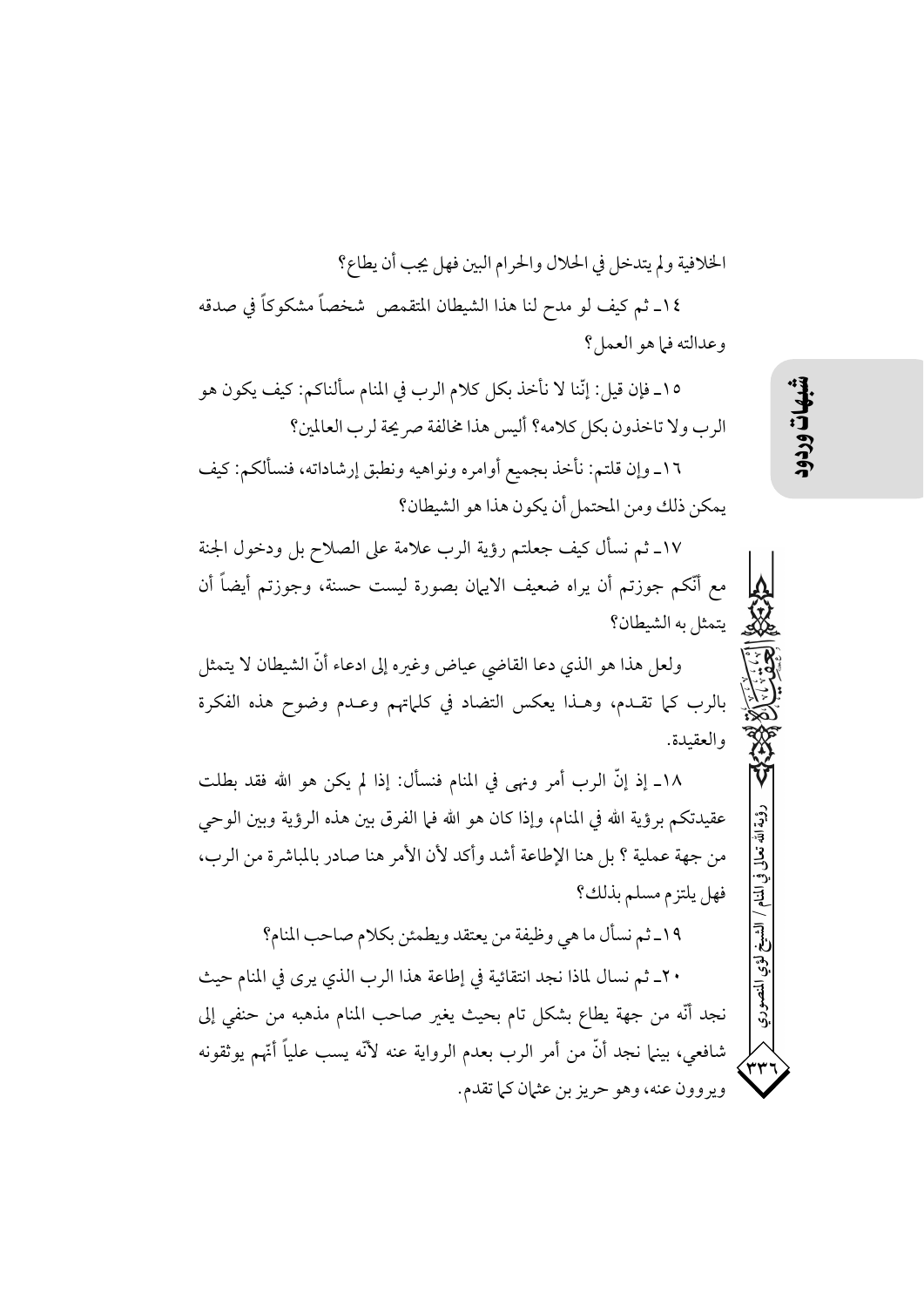الخلافية ولم يتدخل في الحلال والحرام البين فهل يجب أن يطاع؟

١٤ـ ثم كيف لو مدح لنا هذا الشيطان المتقمص شخصاً مشكوكاً في صدقه وعدالته فيا هو العمل؟

١٥\_ فإن قيل: إنَّنا لا نأخذ بكل كلام الرب في المنام سألناكم: كيف يكون هو الرب ولا تاخذون بكل كلامه؟ أليس هذا مخالفة صريحة لرب العالمين؟

١٦\_ وإن قلتم: نأخذ بجميع أوامره ونواهيه ونطبق إرشاداته، فنسألكم: كيف يمكن ذلك ومن المحتمل أن يكون هذا هو الشيطان؟

١٧ـ ثم نسأل كيف جعلتم رؤية الرب علامة على الصلاح بل ودخول الجنة مع أنَّكم جوزتم أن يراه ضعيف الايهان بصورة ليست حسنة، وجوزتم أيضاً أن يتمثل به الشيطان؟

ولعل هذا هو الذي دعا القاضي عياض وغيره إلى ادعاء أنَّ الشيطان لا يتمثل بالرب كما تقـدم، وهـذا يعكس التضاد في كلماتهم وعـدم وضوح هذه الفكرة والعقيدة.

١٨ـ إذ إنَّ الرب أمرٍ ونهى في المنام فنسأل: إذا لم يكن هو الله فقد بطلت عقيدتكم برؤية الله في المنام، وإذا كان هو الله فيا الفرق بين هذه الرؤية وبين الوحي من جهة عملية ؟ بل هنا الإطاعة أشد وأكد لأن الأمر هنا صادر بالمباشرة من الرب، فهل يلتزم مسلم بذلك؟

١٩-ثم نسأل ما هي وظيفة من يعتقد ويطمئن بكلام صاحب المنام؟

٢٠ـ ثم نسال لماذا نجد انتقائية في إطاعة هذا الرب الذي يرى في المنام حيث نجد أنَّه من جهة يطاع بشكل تام بحيث يغير صاحب المنام مذهبه من حنفي إلى شافعي، بينما نجد أنَّ من أمر الرب بعدم الرواية عنه لأنَّه يسب علياً أنَّهم يوثقونه ويروون عنه، وهو حريز بن عثمان كما تقدم.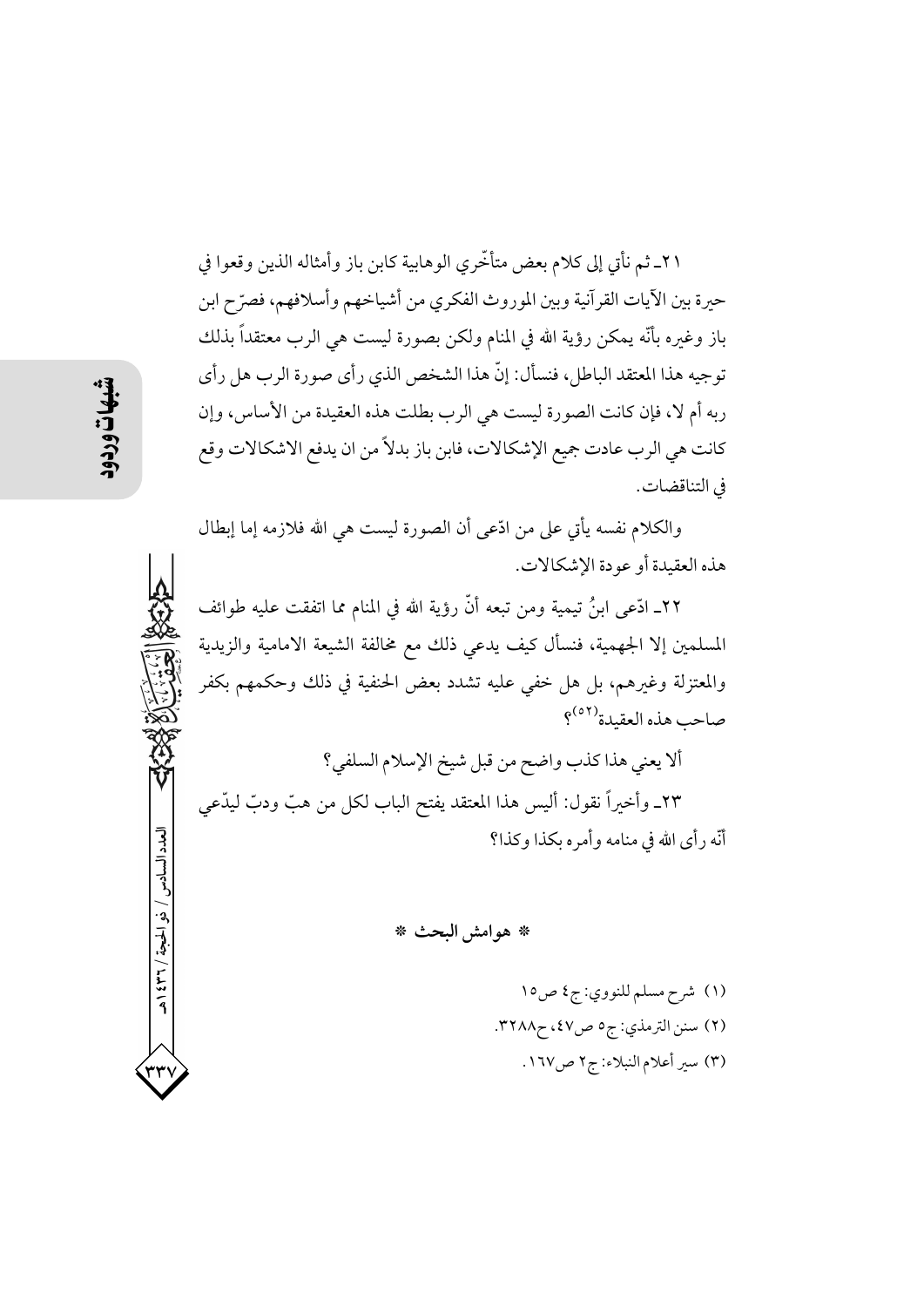٢١ـ ثم نأتي إلى كلام بعض متأخَّري الوهابية كابن باز وأمثاله الذين وقعوا في حيرة بين الآيات القرآنية وبين الموروث الفكري من أشياخهم وأسلافهم، فصرّح ابن باز وغبره بأنَّه يمكن رؤية الله في المنام ولكن بصورة ليست هي الرب معتقداً بذلك توجيه هذا المعتقد الباطل، فنسأل: إنَّ هذا الشخص الذي رأى صورة الرب هل رأى ربه أم لا، فإن كانت الصورة ليست هي الرب بطلت هذه العقيدة من الأساس، وإن كانت هي الرب عادت جميع الإشكالات، فابن باز بدلاً من ان يدفع الاشكالات وقع في التناقضات.

والكلام نفسه يأتي على من ادّعى أن الصورة ليست هي الله فلازمه إما إبطال هذه العقيدة أو عودة الإشكالات.

٢٢ـ ادَّعـى ابنُ تيمية ومن تبعه أنَّ رؤية الله في المنام مما اتفقت عليه طوائف المسلمين إلا الجهمية، فنسأل كيف يدعى ذلك مع مخالفة الشيعة الامامية والزيدية والمعتزلة وغيرهم، بل هل خفي عليه تشدد بعض الحنفية في ذلك وحكمهم بكفر صاحب هذه العقيدة<sup>(٥٢)</sup>؟

ألا يعني هذا كذب واضح من قبل شيخ الإسلام السلفي؟ ٢٣ـ وأخيراً نقول: أليس هذا المعتقد يفتح الباب لكل من هبّ ودبّ ليدّعى أنَّه د أي الله في منامه و أمره يكذا و كذا؟

\* هوامش البحث \*

(۱) شرح مسلم للنووي: ج٤ ص١٥ (٢) سنن الترمذي: ج٥ ص٤٧، ح٣٢٨٨. (٣) سير أعلام النبلاء: ج٢ ص١٦٧.

العدد السادس

/ ذو الحجة / ٢٦٢ / هـ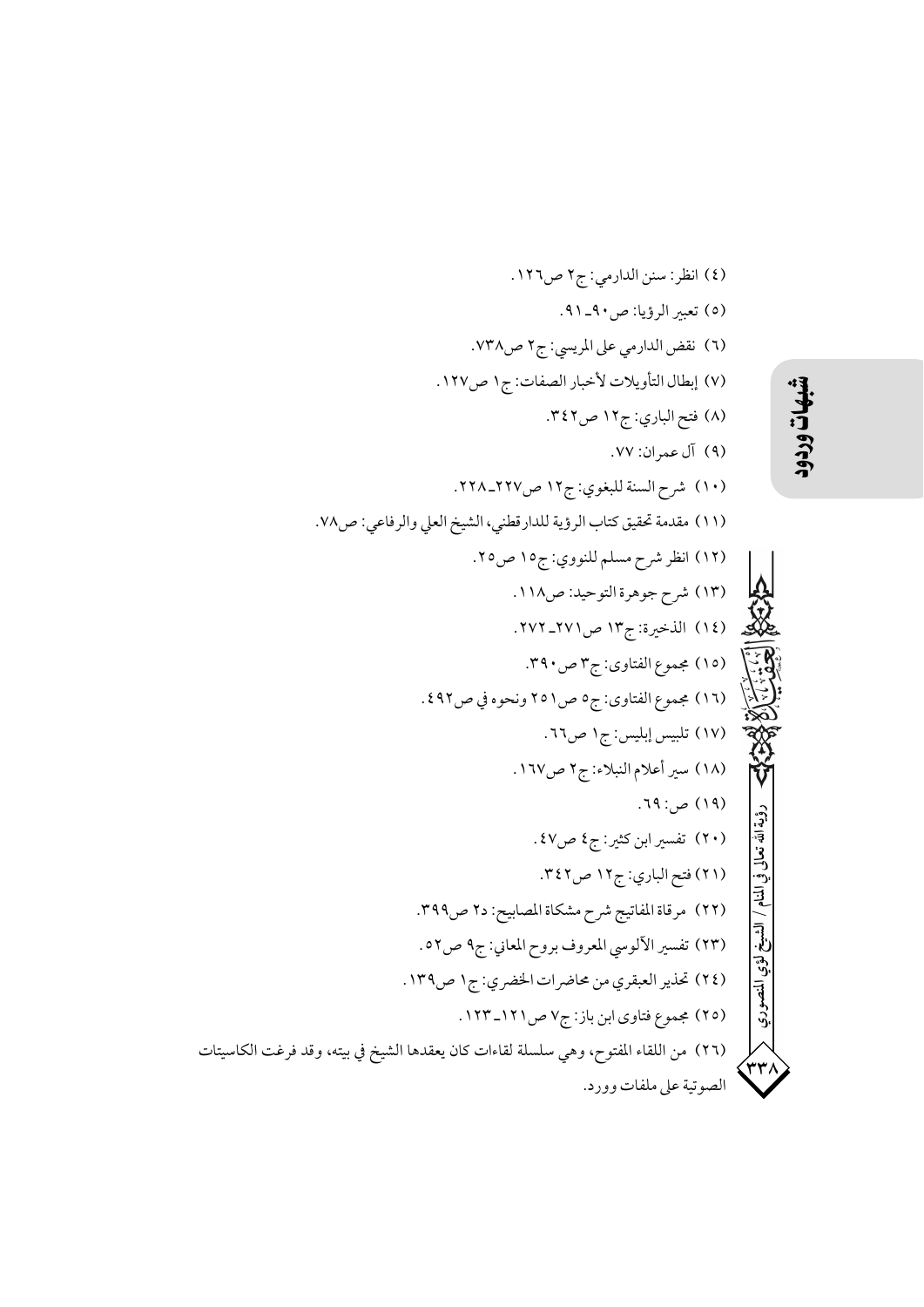3) انقل: سنز الداري: ج۲ مس171.  
\n0) تعير الرلواي عل الرسي: ج۲ مس 171.  
\n1) نقض اللاري: 511 مرا. سو 11.  
\n1) نعلال ان<sup>1</sup>ويلات ل<sup>ا</sup>خ\ncur  
\n2) إيطال ان<sup>1</sup>ويلات ل<sup>ا</sup>خ\ncur  
\n3) من سدات ليلاني: 511 مرا 110  
\n4) نع سران: 110  
\n52. 
$$
11\sqrt{2}
$$
  
\n63.  $11\sqrt{2}$   
\n74.  $11\sqrt{2}$   
\n85.  $11\sqrt{2}$   
\n96.  $11\sqrt{2}$   
\n107.  $1\sqrt{2}$   
\n119.  $-\sqrt{2}$   
\n110.  $-\sqrt{2}$   
\n110.  $-\sqrt{2}$   
\n111.  $-\sqrt{2}$   
\n111.  $-\sqrt{2}$   
\n111.  $-\sqrt{2}$   
\n112.  $-\sqrt{2}$   
\n113.  $-\sqrt{2}$   
\n113.  $-\sqrt{2}$   
\n114.  $-\sqrt{2}$   
\n115.  $-\sqrt{2}$   
\n116.  $-\sqrt{2}$   
\n117.  $-\sqrt{2}$   
\n117.  $-\sqrt{2}$   
\n118.  $-\sqrt{2}$   
\n119.  $-\sqrt{2}$   
\n119.  $-\sqrt{2}$   
\n119.  $-\sqrt{2}$   
\n119.  $-\sqrt{2}$   
\n119.  $-\sqrt{2}$   
\n119.  $-\sqrt{2}$   
\n119.  $-\sqrt{2}$   
\n110.  $-\sqrt{2}$   
\n110.  $-\sqrt{2}$   
\n111.  $-\sqrt{2}$   
\n111.  $-\sqrt{2}$   
\n111.  $-\sqrt{2}$   
\n111.  $-\sqrt{2}$   
\n11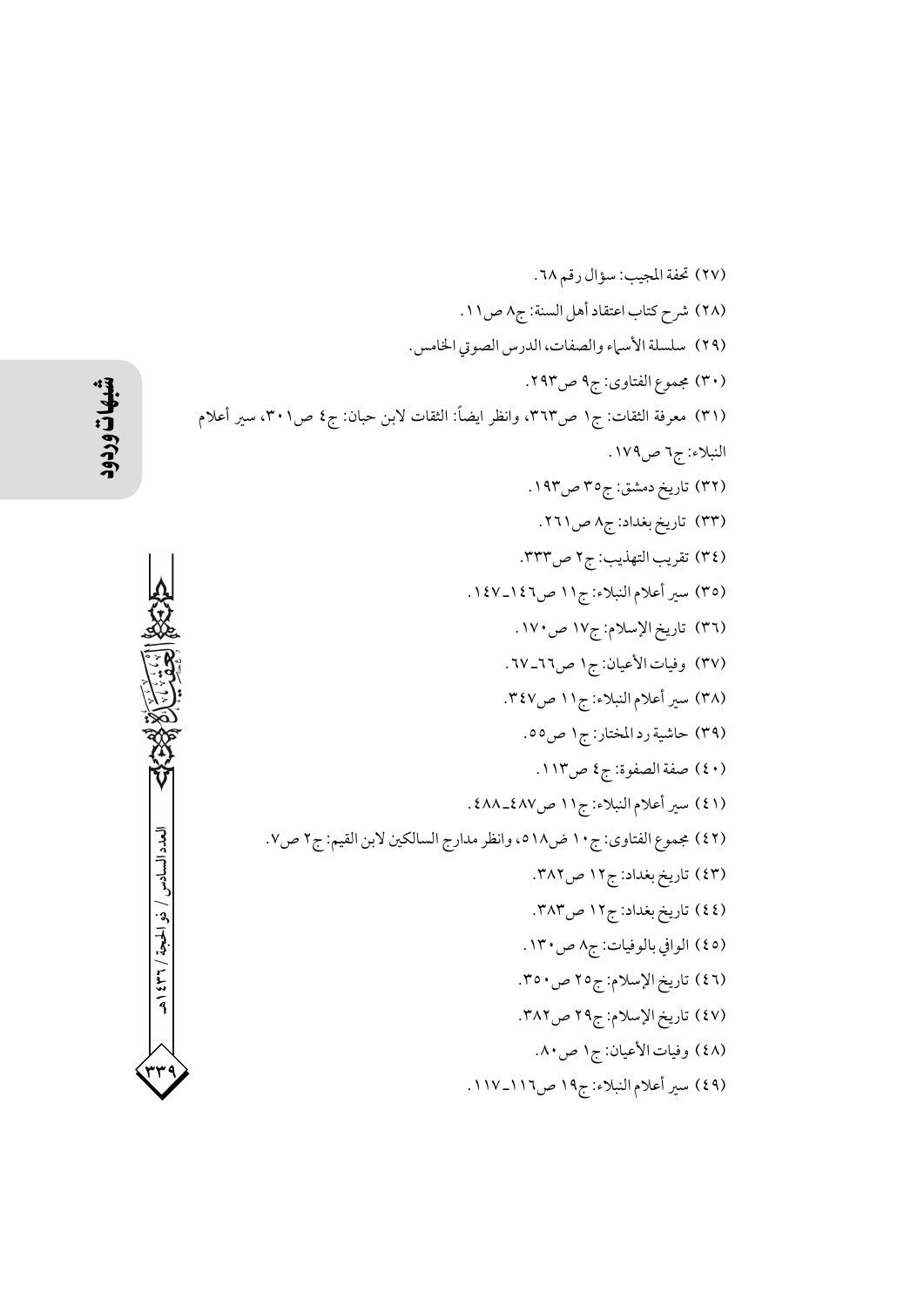(٢٧) تحفة المجيب: سؤال رقم ٦٨. (٢٨) شرح كتاب اعتقاد أهل السنة: ج٨ ص١١. (٢٩) سلسلة الأسماء والصفات، الدرس الصوتي الخامس. (۳۰) مجموع الفتاوي: ج۹ ص۲۹۳. (٣١) معرفة الثقات: ج١ ص٣٦٣، وانظر ايضاً: الثقات لابن حبان: ج٤ ص٣٠١، سير أعلام النبلاء: ج٦ ص١٧٩. (۳۲) تاریخ دمشق: ج۳٥ ص۱۹۳. (۳۳) تاریخ بغداد: ج۸ ص۲٦۱. (٣٤) تقريب التهذيب: ج٢ ص٣٣٣. (٣٥) سير أعلام النبلاء: ج١١ ص٤٢\_١٤٧. (٣٦) تاريخ الإسلام: ج١٧ ص١٧٠. (٣٧) وفيات الأعيان: ج١ ص٢٦-٦٧. (٣٨) سير أعلام النبلاء: ج١١ ص٣٤٧. (۳۹) حاشية رد المختار: ج۱ ص٥٥. (٤٠) صفة الصفوة: ج٤ ص١١٣. (٤١) سير أعلام النبلاء: ج١١ ص٤٨٧\_٤٨٨ . (٤٢) مجموع الفتاوي: ج ١٠ ض١٨، وانظر مدارج السالكين لابن القيم: ج٢ ص٧. (٤٣) تاريخ بغداد: ج١٢ ص٣٨٢. (٤٤) تاريخ بغداد: ج١٢ ص٣٨٣. (٤٥) الوافي بالوفيات: ج٨ ص١٣٠. (٤٦) تاريخ الإسلام: ج٢٥ ص٥٠. (٤٧) تاريخ الإسلام: ج٢٩ ص٣٨٢. (٤٨) وفيات الأعيان: ج١ ص٨٠. (٤٩) سير أعلام النبلاء: ج١٩ ص١١٦\_١١٧.

إلعدد السادس / نه الحجة / ٢٣٦ / هـ